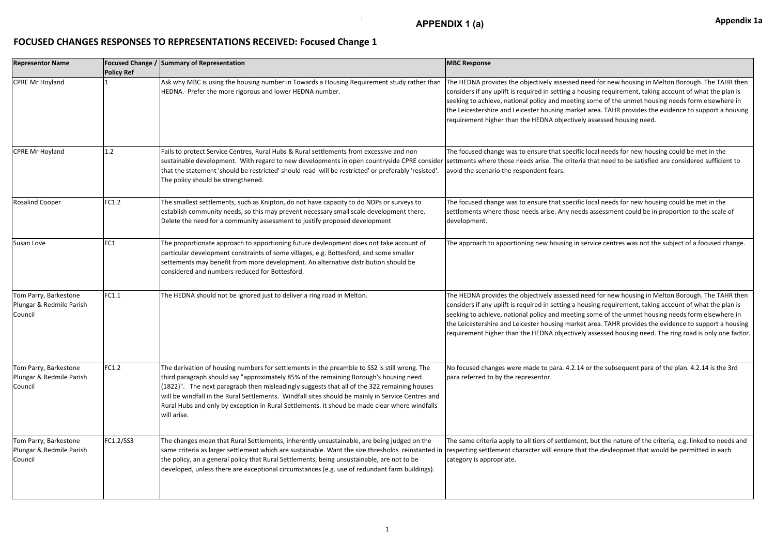## **FOCUSED CHANGES RESPONSES TO REPRESENTATIONS RECEIVED: Focused Change 1**

# Focused Change 1 **Appendix 1a APPENDIX 1 (a)**

| <b>Representor Name</b>                                      | <b>Focused Change /</b><br><b>Policy Ref</b> | <b>Summary of Representation</b>                                                                                                                                                                                                                                                                                                                                                                                                                                                                          | <b>MBC Response</b>                                                                                                                                                                                                                                       |
|--------------------------------------------------------------|----------------------------------------------|-----------------------------------------------------------------------------------------------------------------------------------------------------------------------------------------------------------------------------------------------------------------------------------------------------------------------------------------------------------------------------------------------------------------------------------------------------------------------------------------------------------|-----------------------------------------------------------------------------------------------------------------------------------------------------------------------------------------------------------------------------------------------------------|
| CPRE Mr Hoyland                                              |                                              | Ask why MBC is using the housing number in Towards a Housing Requirement study rather than<br>HEDNA. Prefer the more rigorous and lower HEDNA number.                                                                                                                                                                                                                                                                                                                                                     | The HEDNA provides the objectively assessed r<br>considers if any uplift is required in setting a ho<br>seeking to achieve, national policy and meeting<br>the Leicestershire and Leicester housing marke<br>requirement higher than the HEDNA objectivel |
| <b>CPRE Mr Hoyland</b>                                       | 1.2                                          | Fails to protect Service Centres, Rural Hubs & Rural settlements from excessive and non<br>sustainable development. With regard to new developments in open countryside CPRE consider settments where those needs arise. The criteri<br>that the statement 'should be restricted' should read 'will be restricted' or preferably 'resisted'.<br>The policy should be strengthened.                                                                                                                        | The focused change was to ensure that specific<br>avoid the scenario the respondent fears.                                                                                                                                                                |
| <b>Rosalind Cooper</b>                                       | FC1.2                                        | The smallest settlements, such as Knipton, do not have capacity to do NDPs or surveys to<br>establish community needs, so this may prevent necessary small scale development there.<br>Delete the need for a community assessment to justify proposed development                                                                                                                                                                                                                                         | The focused change was to ensure that specific<br>settlements where those needs arise. Any nee<br>development.                                                                                                                                            |
| Susan Love                                                   | FC <sub>1</sub>                              | The proportionate approach to apportioning future devleopment does not take account of<br>particular development constraints of some villages, e.g. Bottesford, and some smaller<br>settements may benefit from more development. An alternative distribution should be<br>considered and numbers reduced for Bottesford.                                                                                                                                                                                 | The approach to apportioning new housing in s                                                                                                                                                                                                             |
| Tom Parry, Barkestone<br>Plungar & Redmile Parish<br>Council | FC1.1                                        | The HEDNA should not be ignored just to deliver a ring road in Melton.                                                                                                                                                                                                                                                                                                                                                                                                                                    | The HEDNA provides the objectively assessed r<br>considers if any uplift is required in setting a ho<br>seeking to achieve, national policy and meeting<br>the Leicestershire and Leicester housing marke<br>requirement higher than the HEDNA objectivel |
| Tom Parry, Barkestone<br>Plungar & Redmile Parish<br>Council | FC1.2                                        | The derivation of housing numbers for settlements in the preamble to SS2 is still wrong. The<br>third paragraph should say "approximately 85% of the remaining Borough's housing need<br>(1822)". The next paragraph then misleadingly suggests that all of the 322 remaining houses<br>will be windfall in the Rural Settlements. Windfall sites should be mainly in Service Centres and<br>Rural Hubs and only by exception in Rural Settlements. it shoud be made clear where windfalls<br>will arise. | No focused changes were made to para. 4.2.14<br>para referred to by the representor.                                                                                                                                                                      |
| Tom Parry, Barkestone<br>Plungar & Redmile Parish<br>Council | FC1.2/SS3                                    | The changes mean that Rural Settlements, inherently unsustainable, are being judged on the<br>same criteria as larger settlement which are sustainable. Want the size thresholds reinstanted in<br>the policy, an a general policy that Rural Settlements, being unsustainable, are not to be<br>developed, unless there are exceptional circumstances (e.g. use of redundant farm buildings).                                                                                                            | The same criteria apply to all tiers of settlemer<br>respecting settlement character will ensure that<br>category is appropriate.                                                                                                                         |

need for new housing in Melton Borough. The TAHR then ousing requirement, taking account of what the plan is ig some of the unmet housing needs form elsewhere in et area. TAHR provides the evidence to support a housing rly assessed housing need.

ic local needs for new housing could be met in the ia that need to be satisfied are considered sufficient to

ic local needs for new housing could be met in the eds assessment could be in proportion to the scale of

service centres was not the subject of a focused change.

need for new housing in Melton Borough. The TAHR then ousing requirement, taking account of what the plan is ig some of the unmet housing needs form elsewhere in et area. TAHR provides the evidence to support a housing rly assessed housing need. The ring road is only one factor.

4 or the subsequent para of the plan. 4.2.14 is the 3rd

nt, but the nature of the criteria, e.g. linked to needs and rat the devleopmet that would be permitted in each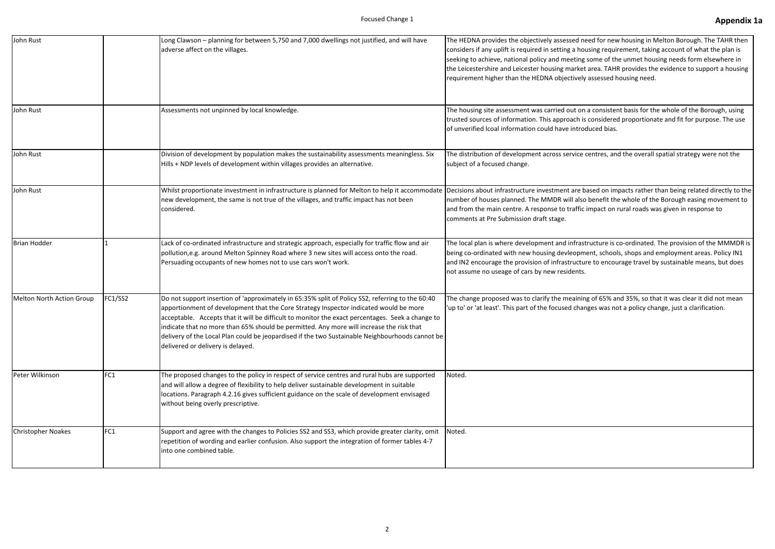| John Rust                 |         | Long Clawson – planning for between 5,750 and 7,000 dwellings not justified, and will have<br>adverse affect on the villages.                                                                                                                                                                                                                                                                                                                                                                                                     | The HEDNA provides the objectively assessed ne<br>considers if any uplift is required in setting a hou<br>seeking to achieve, national policy and meeting<br>the Leicestershire and Leicester housing market<br>requirement higher than the HEDNA objectively |
|---------------------------|---------|-----------------------------------------------------------------------------------------------------------------------------------------------------------------------------------------------------------------------------------------------------------------------------------------------------------------------------------------------------------------------------------------------------------------------------------------------------------------------------------------------------------------------------------|---------------------------------------------------------------------------------------------------------------------------------------------------------------------------------------------------------------------------------------------------------------|
| John Rust                 |         | Assessments not unpinned by local knowledge.                                                                                                                                                                                                                                                                                                                                                                                                                                                                                      | The housing site assessment was carried out on<br>trusted sources of information. This approach is<br>of unverified Icoal information could have introd                                                                                                       |
| John Rust                 |         | Division of development by population makes the sustainability assessments meaningless. Six<br>Hills + NDP levels of development within villages provides an alternative.                                                                                                                                                                                                                                                                                                                                                         | The distribution of development across service o<br>subject of a focused change.                                                                                                                                                                              |
| John Rust                 |         | Whilst proportionate investment in infrastructure is planned for Melton to help it accommodate Decisions about infrastructure investment are ba<br>new development, the same is not true of the villages, and traffic impact has not been<br>considered.                                                                                                                                                                                                                                                                          | number of houses planned. The MMDR will also<br>and from the main centre. A response to traffic i<br>comments at Pre Submission draft stage.                                                                                                                  |
| <b>Brian Hodder</b>       |         | Lack of co-ordinated infrastructure and strategic approach, especially for traffic flow and air<br>pollution, e.g. around Melton Spinney Road where 3 new sites will access onto the road.<br>Persuading occupants of new homes not to use cars won't work.                                                                                                                                                                                                                                                                       | The local plan is where development and infrast<br>being co-ordinated with new housing devleopm<br>and IN2 encourage the provision of infrastructur<br>not assume no useage of cars by new residents.                                                         |
| Melton North Action Group | FC1/SS2 | Do not support insertion of 'approximately in 65:35% split of Policy SS2, referring to the 60:40<br>apportionment of development that the Core Strategy Inspector indicated would be more<br>acceptable. Accepts that it will be difficult to monitor the exact percentages. Seek a change to<br>indicate that no more than 65% should be permitted. Any more will increase the risk that<br>delivery of the Local Plan could be jeopardised if the two Sustainable Neighbourhoods cannot be<br>delivered or delivery is delayed. | The change proposed was to clarify the meaining<br>'up to' or 'at least'. This part of the focused chan                                                                                                                                                       |
| Peter Wilkinson           | FC1     | The proposed changes to the policy in respect of service centres and rural hubs are supported<br>and will allow a degree of flexibility to help deliver sustainable development in suitable<br>locations. Paragraph 4.2.16 gives sufficient guidance on the scale of development envisaged<br>without being overly prescriptive.                                                                                                                                                                                                  | Noted.                                                                                                                                                                                                                                                        |
| <b>Christopher Noakes</b> | FC1     | Support and agree with the changes to Policies SS2 and SS3, which provide greater clarity, omit<br>repetition of wording and earlier confusion. Also support the integration of former tables 4-7<br>into one combined table.                                                                                                                                                                                                                                                                                                     | Noted.                                                                                                                                                                                                                                                        |

need for new housing in Melton Borough. The TAHR then busing requirement, taking account of what the plan is g some of the unmet housing needs form elsewhere in et area. TAHR provides the evidence to support a housing ly assessed housing need.

on a consistent basis for the whole of the Borough, using is considered proportionate and fit for purpose. The use oduced bias.

the distribution of denoment across is centres, and the overall spatial strategy were not the

based on impacts rather than being related directly to the o benefit the whole of the Borough easing movement to c impact on rural roads was given in response to

structure is co-ordinated. The provision of the MMMDR is ment, schools, shops and employment areas. Policy IN1 ure to encourage travel by sustainable means, but does

ng of 65% and 35%, so that it was clear it did not mean Inges was not a policy change, just a clarification.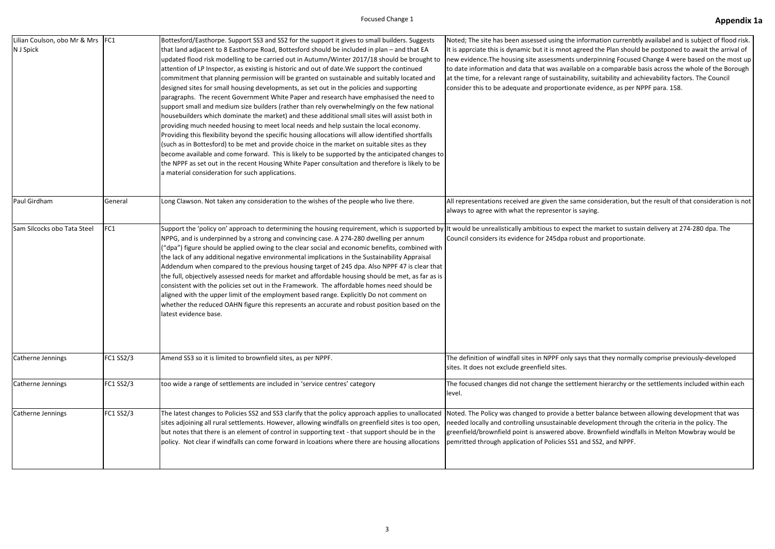| Lilian Coulson, obo Mr & Mrs FC1<br>N J Spick |                 | Bottesford/Easthorpe. Support SS3 and SS2 for the support it gives to small builders. Suggests<br>that land adjacent to 8 Easthorpe Road, Bottesford should be included in plan - and that EA<br>updated flood risk modelling to be carried out in Autumn/Winter 2017/18 should be brought to<br>attention of LP Inspector, as existing is historic and out of date. We support the continued<br>commitment that planning permission will be granted on sustainable and suitably located and<br>designed sites for small housing developments, as set out in the policies and supporting<br>paragraphs. The recent Government White Paper and research have emphasised the need to<br>support small and medium size builders (rather than rely overwhelmingly on the few national<br>housebuilders which dominate the market) and these additional small sites will assist both in<br>providing much needed housing to meet local needs and help sustain the local economy.<br>Providing this flexibility beyond the specific housing allocations will allow identified shortfalls<br>(such as in Bottesford) to be met and provide choice in the market on suitable sites as they<br>become available and come forward. This is likely to be supported by the anticipated changes to<br>the NPPF as set out in the recent Housing White Paper consultation and therefore is likely to be<br>a material consideration for such applications. | Noted; The site has been assessed using the inf<br>It is apprciate this is dynamic but it is mnot agre<br>new evidence. The housing site assessments un<br>to date information and data that was available<br>at the time, for a relevant range of sustainabilit<br>consider this to be adequate and proportionate |
|-----------------------------------------------|-----------------|----------------------------------------------------------------------------------------------------------------------------------------------------------------------------------------------------------------------------------------------------------------------------------------------------------------------------------------------------------------------------------------------------------------------------------------------------------------------------------------------------------------------------------------------------------------------------------------------------------------------------------------------------------------------------------------------------------------------------------------------------------------------------------------------------------------------------------------------------------------------------------------------------------------------------------------------------------------------------------------------------------------------------------------------------------------------------------------------------------------------------------------------------------------------------------------------------------------------------------------------------------------------------------------------------------------------------------------------------------------------------------------------------------------------------------------------|--------------------------------------------------------------------------------------------------------------------------------------------------------------------------------------------------------------------------------------------------------------------------------------------------------------------|
| Paul Girdham                                  | General         | Long Clawson. Not taken any consideration to the wishes of the people who live there.                                                                                                                                                                                                                                                                                                                                                                                                                                                                                                                                                                                                                                                                                                                                                                                                                                                                                                                                                                                                                                                                                                                                                                                                                                                                                                                                                        | All representations received are given the same<br>always to agree with what the representor is sa                                                                                                                                                                                                                 |
| Sam Silcocks obo Tata Steel                   | FC <sub>1</sub> | Support the 'policy on' approach to determining the housing requirement, which is supported by lt would be unrealistically ambitious to expect t<br>NPPG, and is underpinned by a strong and convincing case. A 274-280 dwelling per annum<br>("dpa") figure should be applied owing to the clear social and economic benefits, combined with<br>the lack of any additional negative environmental implications in the Sustainability Appraisal<br>Addendum when compared to the previous housing target of 245 dpa. Also NPPF 47 is clear that<br>the full, objectively assessed needs for market and affordable housing should be met, as far as is<br>consistent with the policies set out in the Framework. The affordable homes need should be<br>aligned with the upper limit of the employment based range. Explicitly Do not comment on<br>whether the reduced OAHN figure this represents an accurate and robust position based on the<br>latest evidence base.                                                                                                                                                                                                                                                                                                                                                                                                                                                                     | Council considers its evidence for 245dpa robus                                                                                                                                                                                                                                                                    |
| Catherne Jennings                             | FC1 SS2/3       | Amend SS3 so it is limited to brownfield sites, as per NPPF.                                                                                                                                                                                                                                                                                                                                                                                                                                                                                                                                                                                                                                                                                                                                                                                                                                                                                                                                                                                                                                                                                                                                                                                                                                                                                                                                                                                 | The definition of windfall sites in NPPF only say<br>sites. It does not exclude greenfield sites.                                                                                                                                                                                                                  |
| Catherne Jennings                             | FC1 SS2/3       | too wide a range of settlements are included in 'service centres' category                                                                                                                                                                                                                                                                                                                                                                                                                                                                                                                                                                                                                                                                                                                                                                                                                                                                                                                                                                                                                                                                                                                                                                                                                                                                                                                                                                   | The focused changes did not change the settler<br>level.                                                                                                                                                                                                                                                           |
| Catherne Jennings                             | FC1 SS2/3       | The latest changes to Policies SS2 and SS3 clarify that the policy approach applies to unallocated<br>sites adjoining all rural settlements. However, allowing windfalls on greenfield sites is too open,<br>but notes that there is an element of control in supporting text - that support should be in the<br>policy. Not clear if windfalls can come forward in Icoations where there are housing allocations                                                                                                                                                                                                                                                                                                                                                                                                                                                                                                                                                                                                                                                                                                                                                                                                                                                                                                                                                                                                                            | Noted. The Policy was changed to provide a bet<br>needed locally and controlling unsustainable de<br>greenfield/brownfield point is answered above<br>pemritted through application of Policies SS1 ar                                                                                                             |

formation currenbtly availabel and is subject of flood risk. eed the Plan should be postponed to await the arrival of nderpinning Focused Change 4 were based on the most up e on a comparable basis across the whole of the Borough ty, suitability and achievability factors. The Council e evidence, as per NPPF para. 158.

e consideration, but the result of that consideration is not aying.

the market to sustain delivery at 274-280 dpa. The st and proportionate.

 $\gamma$ s that they normally comprise previously-developed

ment hierarchy or the settlements included within each

etter balance between allowing development that was evelopment through the criteria in the policy. The Brownfield windfalls in Melton Mowbray would be. nd SS2, and NPPF.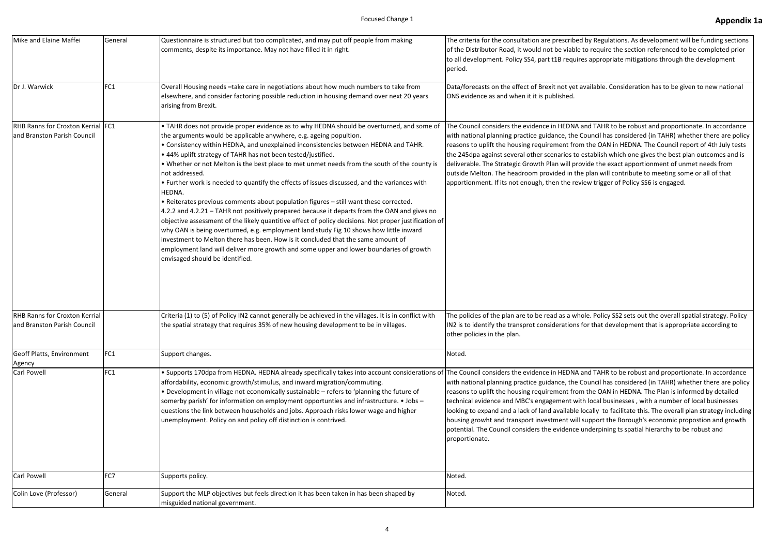| Mike and Elaine Maffei                                           | General         | Questionnaire is structured but too complicated, and may put off people from making<br>comments, despite its importance. May not have filled it in right.                                                                                                                                                                                                                                                                                                                                                                                                                                                                                                                                                                                                                                                                                                                                                                                                                                                                                                                                                                                                       | The criteria for the consultation are prescribed<br>of the Distributor Road, it would not be viable t<br>to all development. Policy SS4, part t1B require<br>period.                                                                                                                                                                                                           |
|------------------------------------------------------------------|-----------------|-----------------------------------------------------------------------------------------------------------------------------------------------------------------------------------------------------------------------------------------------------------------------------------------------------------------------------------------------------------------------------------------------------------------------------------------------------------------------------------------------------------------------------------------------------------------------------------------------------------------------------------------------------------------------------------------------------------------------------------------------------------------------------------------------------------------------------------------------------------------------------------------------------------------------------------------------------------------------------------------------------------------------------------------------------------------------------------------------------------------------------------------------------------------|--------------------------------------------------------------------------------------------------------------------------------------------------------------------------------------------------------------------------------------------------------------------------------------------------------------------------------------------------------------------------------|
| Dr J. Warwick                                                    | FC <sub>1</sub> | Overall Housing needs -take care in negotiations about how much numbers to take from<br>elsewhere, and consider factoring possible reduction in housing demand over next 20 years<br>arising from Brexit.                                                                                                                                                                                                                                                                                                                                                                                                                                                                                                                                                                                                                                                                                                                                                                                                                                                                                                                                                       | Data/forecasts on the effect of Brexit not yet at<br>ONS evidence as and when it it is published.                                                                                                                                                                                                                                                                              |
| RHB Ranns for Croxton Kerrial FC1<br>and Branston Parish Council |                 | • TAHR does not provide proper evidence as to why HEDNA should be overturned, and some of<br>the arguments would be applicable anywhere, e.g. ageing popultion.<br>. Consistency within HEDNA, and unexplained inconsistencies between HEDNA and TAHR.<br>• 44% uplift strategy of TAHR has not been tested/justified.<br>. Whether or not Melton is the best place to met unmet needs from the south of the county is<br>not addressed.<br>• Further work is needed to quantify the effects of issues discussed, and the variances with<br>HEDNA.<br>• Reiterates previous comments about population figures - still want these corrected.<br>4.2.2 and 4.2.21 - TAHR not positively prepared because it departs from the OAN and gives no<br>objective assessment of the likely quantitive effect of policy decisions. Not proper justification of<br>why OAN is being overturned, e.g. employment land study Fig 10 shows how little inward<br>investment to Melton there has been. How is it concluded that the same amount of<br>employment land will deliver more growth and some upper and lower boundaries of growth<br>envisaged should be identified. | The Council considers the evidence in HEDNA a<br>with national planning practice guidance, the C<br>reasons to uplift the housing requirement from<br>the 245dpa against several other scenarios to e<br>deliverable. The Strategic Growth Plan will prov<br>outside Melton. The headroom provided in the<br>apportionment. If its not enough, then the revi                   |
| RHB Ranns for Croxton Kerrial<br>and Branston Parish Council     |                 | Criteria (1) to (5) of Policy IN2 cannot generally be achieved in the villages. It is in conflict with<br>the spatial strategy that requires 35% of new housing development to be in villages.                                                                                                                                                                                                                                                                                                                                                                                                                                                                                                                                                                                                                                                                                                                                                                                                                                                                                                                                                                  | The policies of the plan are to be read as a who<br>IN2 is to identify the transprot considerations f<br>other policies in the plan.                                                                                                                                                                                                                                           |
| Geoff Platts, Environment<br>Agency                              | FC <sub>1</sub> | Support changes.                                                                                                                                                                                                                                                                                                                                                                                                                                                                                                                                                                                                                                                                                                                                                                                                                                                                                                                                                                                                                                                                                                                                                | Noted.                                                                                                                                                                                                                                                                                                                                                                         |
| Carl Powell                                                      | FC1             | • Supports 170dpa from HEDNA. HEDNA already specifically takes into account considerations of<br>affordability, economic growth/stimulus, and inward migration/commuting.<br>. Development in village not economically sustainable - refers to 'planning the future of<br>somerby parish' for information on employment opportunties and infrastructure. • Jobs -<br>questions the link between households and jobs. Approach risks lower wage and higher<br>unemployment. Policy on and policy off distinction is contrived.                                                                                                                                                                                                                                                                                                                                                                                                                                                                                                                                                                                                                                   | The Council considers the evidence in HEDNA a<br>with national planning practice guidance, the C<br>reasons to uplift the housing requirement from<br>technical evidence and MBC's engagement witl<br>looking to expand and a lack of land available lo<br>housing growht and transport investment will s<br>potential. The Council considers the evidence u<br>proportionate. |
| <b>Carl Powell</b>                                               | FC7             | Supports policy.                                                                                                                                                                                                                                                                                                                                                                                                                                                                                                                                                                                                                                                                                                                                                                                                                                                                                                                                                                                                                                                                                                                                                | Noted.                                                                                                                                                                                                                                                                                                                                                                         |
| Colin Love (Professor)                                           | General         | Support the MLP objectives but feels direction it has been taken in has been shaped by<br>misguided national government.                                                                                                                                                                                                                                                                                                                                                                                                                                                                                                                                                                                                                                                                                                                                                                                                                                                                                                                                                                                                                                        | Noted.                                                                                                                                                                                                                                                                                                                                                                         |

I by Regulations. As development will be funding sections to require the section referenced to be completed prior es appropriate mitigations through the development

vailable. Consideration has to be given to new national

and TAHR to be robust and proportionate. In accordance Council has considered (in TAHR) whether there are policy reasons the OAN in HEDNA. The Council report of 4th July tests establish which one gives the best plan outcomes and is vide the exact apportionment of unmet needs from plan will contribute to meeting some or all of that iew trigger of Policy SS6 is engaged.

ple. Policy SS2 sets out the overall spatial strategy. Policy for that development that is appropriate according to

and TAHR to be robust and proportionate. In accordance Council has considered (in TAHR) whether there are policy i the OAN in HEDNA. The Plan is informed by detailed h local businesses, with a number of local businesses ocally to facilitate this. The overall plan strategy including support the Borough's economic propostion and growth anderpining ts spatial hierarchy to be robust and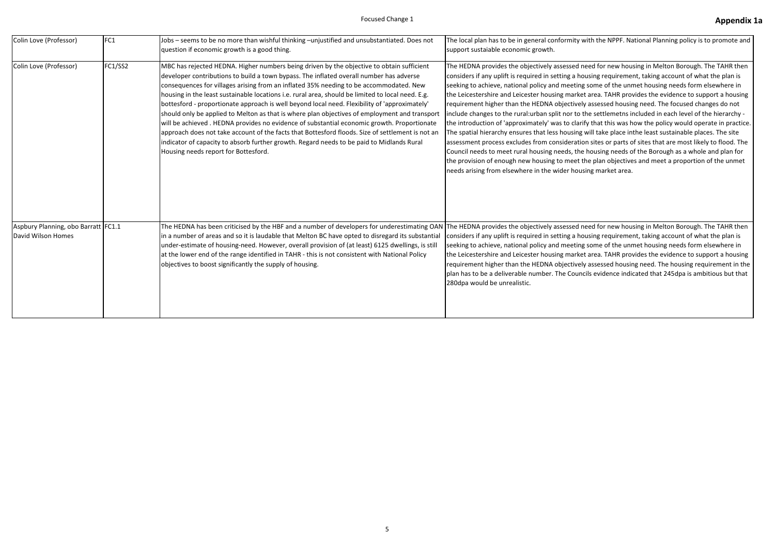| Colin Love (Professor)                                    | FC1     | Jobs - seems to be no more than wishful thinking -unjustified and unsubstantiated. Does not<br>question if economic growth is a good thing.                                                                                                                                                                                                                                                                                                                                                                                                                                                                                                                                                                                                                                                                                                                                                                                  | The local plan has to be in general conformity w<br>support sustaiable economic growth.                                                                                                                                                                                                                                                                                                                                                                                                                                                                                                                                          |
|-----------------------------------------------------------|---------|------------------------------------------------------------------------------------------------------------------------------------------------------------------------------------------------------------------------------------------------------------------------------------------------------------------------------------------------------------------------------------------------------------------------------------------------------------------------------------------------------------------------------------------------------------------------------------------------------------------------------------------------------------------------------------------------------------------------------------------------------------------------------------------------------------------------------------------------------------------------------------------------------------------------------|----------------------------------------------------------------------------------------------------------------------------------------------------------------------------------------------------------------------------------------------------------------------------------------------------------------------------------------------------------------------------------------------------------------------------------------------------------------------------------------------------------------------------------------------------------------------------------------------------------------------------------|
| Colin Love (Professor)                                    | FC1/SS2 | MBC has rejected HEDNA. Higher numbers being driven by the objective to obtain sufficient<br>developer contributions to build a town bypass. The inflated overall number has adverse<br>consequences for villages arising from an inflated 35% needing to be accommodated. New<br>housing in the least sustainable locations i.e. rural area, should be limited to local need. E.g.<br>bottesford - proportionate approach is well beyond local need. Flexibility of 'approximately'<br>should only be applied to Melton as that is where plan objectives of employment and transport<br>will be achieved. HEDNA provides no evidence of substantial economic growth. Proportionate<br>approach does not take account of the facts that Bottesford floods. Size of settlement is not an<br>indicator of capacity to absorb further growth. Regard needs to be paid to Midlands Rural<br>Housing needs report for Bottesford. | The HEDNA provides the objectively assessed no<br>considers if any uplift is required in setting a ho<br>seeking to achieve, national policy and meeting<br>the Leicestershire and Leicester housing market<br>requirement higher than the HEDNA objectively<br>include changes to the rural:urban split nor to t<br>the introduction of 'approximately' was to clarif<br>The spatial hierarchy ensures that less housing<br>assessment process excludes from consideratio<br>Council needs to meet rural housing needs, the<br>the provision of enough new housing to meet tl<br>needs arising from elsewhere in the wider hous |
| Aspbury Planning, obo Barratt FC1.1<br>David Wilson Homes |         | The HEDNA has been criticised by the HBF and a number of developers for underestimating OAN The HEDNA provides the objectively assessed no<br>in a number of areas and so it is laudable that Melton BC have opted to disregard its substantial<br>under-estimate of housing-need. However, overall provision of (at least) 6125 dwellings, is still<br>at the lower end of the range identified in TAHR - this is not consistent with National Policy<br>objectives to boost significantly the supply of housing.                                                                                                                                                                                                                                                                                                                                                                                                           | considers if any uplift is required in setting a ho<br>seeking to achieve, national policy and meeting<br>the Leicestershire and Leicester housing market<br>requirement higher than the HEDNA objectively<br>plan has to be a deliverable number. The Counc<br>280dpa would be unrealistic.                                                                                                                                                                                                                                                                                                                                     |

with the NPPF. National Planning policy is to promote and

need for new housing in Melton Borough. The TAHR then busing requirement, taking account of what the plan is some of the unmet housing needs form elsewhere in t area. TAHR provides the evidence to support a housing rassessed housing need. The focused changes do not the settlemetns included in each level of the hierarchy ify that this was how the policy would operate in practice. will take place inthe least sustainable places. The site on sites or parts of sites that are most likely to flood. The If housing needs of the Borough as a whole and plan for the plan objectives and meet a proportion of the unmet ing market area.

need for new housing in Melton Borough. The TAHR then busing requirement, taking account of what the plan is some of the unmet housing needs form elsewhere in t area. TAHR provides the evidence to support a housing rassessed housing need. The housing requirement in the cils evidence indicated that 245dpa is ambitious but that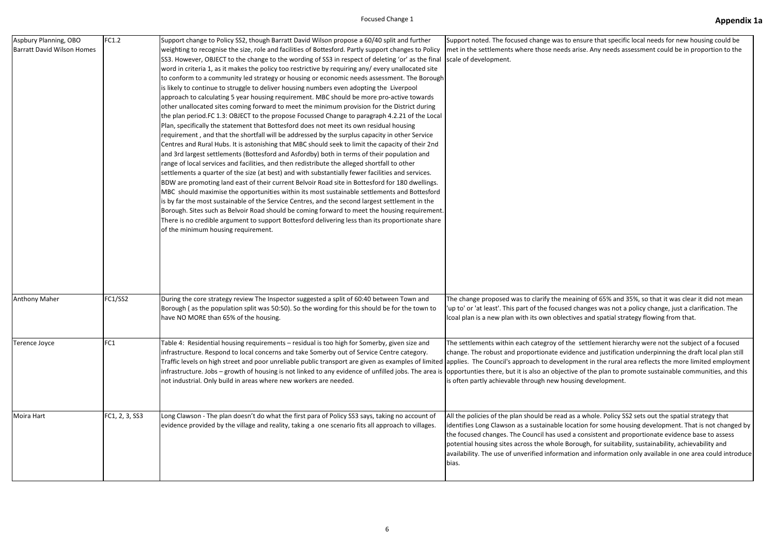| Aspbury Planning, OBO<br><b>Barratt David Wilson Homes</b> | FC1.2          | Support change to Policy SS2, though Barratt David Wilson propose a 60/40 split and further<br>weighting to recognise the size, role and facilities of Bottesford. Partly support changes to Policy<br>SS3. However, OBJECT to the change to the wording of SS3 in respect of deleting 'or' as the final<br>word in criteria 1, as it makes the policy too restrictive by requiring any/ every unallocated site<br>to conform to a community led strategy or housing or economic needs assessment. The Borough<br>is likely to continue to struggle to deliver housing numbers even adopting the Liverpool<br>approach to calculating 5 year housing requirement. MBC should be more pro-active towards<br>other unallocated sites coming forward to meet the minimum provision for the District during<br>the plan period.FC 1.3: OBJECT to the propose Focussed Change to paragraph 4.2.21 of the Local<br>Plan, specifically the statement that Bottesford does not meet its own residual housing<br>requirement, and that the shortfall will be addressed by the surplus capacity in other Service<br>Centres and Rural Hubs. It is astonishing that MBC should seek to limit the capacity of their 2nd<br>and 3rd largest settlements (Bottesford and Asfordby) both in terms of their population and<br>range of local services and facilities, and then redistribute the alleged shortfall to other<br>settlements a quarter of the size (at best) and with substantially fewer facilities and services.<br>BDW are promoting land east of their current Belvoir Road site in Bottesford for 180 dwellings.<br>MBC should maximise the opportunities within its most sustainable settlements and Bottesford<br>is by far the most sustainable of the Service Centres, and the second largest settlement in the<br>Borough. Sites such as Belvoir Road should be coming forward to meet the housing requirement.<br>There is no credible argument to support Bottesford delivering less than its proportionate share<br>of the minimum housing requirement. | Support noted. The focused change was to ens<br>met in the settlements where those needs aris<br>scale of development.                                                                                                                                                 |
|------------------------------------------------------------|----------------|-------------------------------------------------------------------------------------------------------------------------------------------------------------------------------------------------------------------------------------------------------------------------------------------------------------------------------------------------------------------------------------------------------------------------------------------------------------------------------------------------------------------------------------------------------------------------------------------------------------------------------------------------------------------------------------------------------------------------------------------------------------------------------------------------------------------------------------------------------------------------------------------------------------------------------------------------------------------------------------------------------------------------------------------------------------------------------------------------------------------------------------------------------------------------------------------------------------------------------------------------------------------------------------------------------------------------------------------------------------------------------------------------------------------------------------------------------------------------------------------------------------------------------------------------------------------------------------------------------------------------------------------------------------------------------------------------------------------------------------------------------------------------------------------------------------------------------------------------------------------------------------------------------------------------------------------------------------------------------------------------------------------------------------------------------------------|------------------------------------------------------------------------------------------------------------------------------------------------------------------------------------------------------------------------------------------------------------------------|
| <b>Anthony Maher</b>                                       | <b>FC1/SS2</b> | During the core strategy review The Inspector suggested a split of 60:40 between Town and<br>Borough (as the population split was 50:50). So the wording for this should be for the town to<br>have NO MORE than 65% of the housing.                                                                                                                                                                                                                                                                                                                                                                                                                                                                                                                                                                                                                                                                                                                                                                                                                                                                                                                                                                                                                                                                                                                                                                                                                                                                                                                                                                                                                                                                                                                                                                                                                                                                                                                                                                                                                              | The change proposed was to clarify the meaini<br>'up to' or 'at least'. This part of the focused cha<br>Icoal plan is a new plan with its own oblectives                                                                                                               |
| Terence Joyce                                              | FC1            | Table 4: Residential housing requirements - residual is too high for Somerby, given size and<br>Infrastructure. Respond to local concerns and take Somerby out of Service Centre category.<br>Traffic levels on high street and poor unreliable public transport are given as examples of limited applies. The Council's approach to developme<br>linfrastructure. Jobs – growth of housing is not linked to any evidence of unfilled jobs. The area is opportunties there, but it is also an objective o<br>not industrial. Only build in areas where new workers are needed.                                                                                                                                                                                                                                                                                                                                                                                                                                                                                                                                                                                                                                                                                                                                                                                                                                                                                                                                                                                                                                                                                                                                                                                                                                                                                                                                                                                                                                                                                    | The settlements within each categroy of the se<br>change. The robust and proportionate evidence<br>is often partly achievable through new housing                                                                                                                      |
| Moira Hart                                                 | FC1, 2, 3, SS3 | Long Clawson - The plan doesn't do what the first para of Policy SS3 says, taking no account of<br>evidence provided by the village and reality, taking a one scenario fits all approach to villages.                                                                                                                                                                                                                                                                                                                                                                                                                                                                                                                                                                                                                                                                                                                                                                                                                                                                                                                                                                                                                                                                                                                                                                                                                                                                                                                                                                                                                                                                                                                                                                                                                                                                                                                                                                                                                                                             | All the policies of the plan should be read as a<br>identifies Long Clawson as a sustainable locatic<br>the focused changes. The Council has used a co<br>potential housing sites across the whole Borou<br>availability. The use of unverified information a<br>bias. |

sure that specific local needs for new housing could be se. Any needs assessment could be in proportion to the

ing of 65% and 35%, so that it was clear it did not mean Inges was not a policy change, just a clarification. The and spatial strategy flowing from that.

ettlement hierarchy were not the subject of a focused ce and justification underpinning the draft local plan still nt in the rural area reflects the more limited employment of the plan to promote sustainable communities, and this g development.

whole. Policy SS2 sets out the spatial strategy that on for some housing development. That is not changed by onsistent and proportionate evidence base to assess agh, for suitability, sustainability, achievability and and information only available in one area could introduce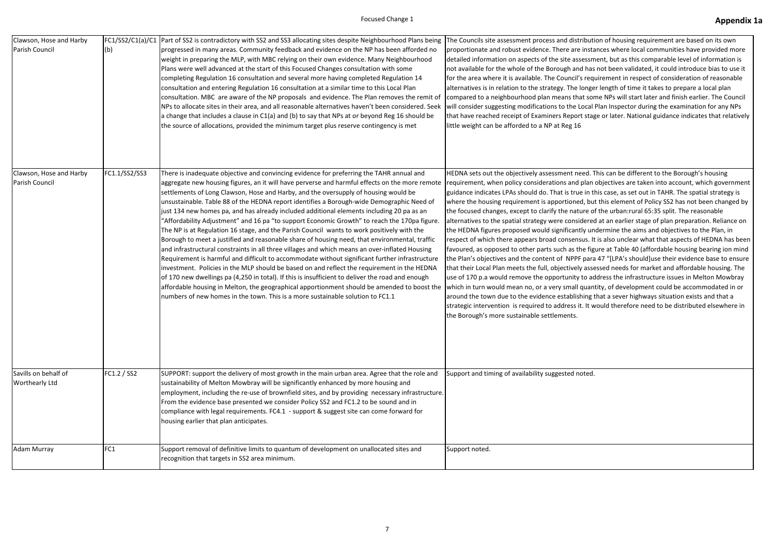| Clawson, Hose and Harby<br>Parish Council | FC1/SS2/C1(a)/C1<br>(b) | Part of SS2 is contradictory with SS2 and SS3 allocating sites despite Neighbourhood Plans being<br>progressed in many areas. Community feedback and evidence on the NP has been afforded no<br>weight in preparing the MLP, with MBC relying on their own evidence. Many Neighbourhood<br>Plans were well advanced at the start of this Focused Changes consultation with some<br>completing Regulation 16 consultation and several more having completed Regulation 14<br>consultation and entering Regulation 16 consultation at a similar time to this Local Plan<br>consultation. MBC are aware of the NP proposals and evidence. The Plan removes the remit of<br>NPs to allocate sites in their area, and all reasonable alternatives haven't been considered. Seek<br>a change that includes a clause in C1(a) and (b) to say that NPs at or beyond Reg 16 should be<br>the source of allocations, provided the minimum target plus reserve contingency is met                                                                                                                                                                                                                                                                                                                                                                                             | The Councils site assessment process and distribut<br>proportionate and robust evidence. There are insta<br>detailed information on aspects of the site assessm<br>not available for the whole of the Borough and has<br>for the area where it is available. The Council's req<br>alternatives is in relation to the strategy. The longe<br>compared to a neighbourhood plan means that sor<br>will consider suggesting modifications to the Local<br>that have reached receipt of Examiners Report stag<br>little weight can be afforded to a NP at Reg 16                                                                                                                                                                                                                                                                                                                               |
|-------------------------------------------|-------------------------|--------------------------------------------------------------------------------------------------------------------------------------------------------------------------------------------------------------------------------------------------------------------------------------------------------------------------------------------------------------------------------------------------------------------------------------------------------------------------------------------------------------------------------------------------------------------------------------------------------------------------------------------------------------------------------------------------------------------------------------------------------------------------------------------------------------------------------------------------------------------------------------------------------------------------------------------------------------------------------------------------------------------------------------------------------------------------------------------------------------------------------------------------------------------------------------------------------------------------------------------------------------------------------------------------------------------------------------------------------------------|-------------------------------------------------------------------------------------------------------------------------------------------------------------------------------------------------------------------------------------------------------------------------------------------------------------------------------------------------------------------------------------------------------------------------------------------------------------------------------------------------------------------------------------------------------------------------------------------------------------------------------------------------------------------------------------------------------------------------------------------------------------------------------------------------------------------------------------------------------------------------------------------|
| Clawson, Hose and Harby<br>Parish Council | FC1.1/SS2/SS3           | There is inadequate objective and convincing evidence for preferring the TAHR annual and<br>aggregate new housing figures, an it will have perverse and harmful effects on the more remote<br>settlements of Long Clawson, Hose and Harby, and the oversupply of housing would be<br>unsustainable. Table 88 of the HEDNA report identifies a Borough-wide Demographic Need of<br>just 134 new homes pa, and has already included additional elements including 20 pa as an<br>"Affordability Adjustment" and 16 pa "to support Economic Growth" to reach the 170pa figure.<br>The NP is at Regulation 16 stage, and the Parish Council wants to work positively with the<br>Borough to meet a justified and reasonable share of housing need, that environmental, traffic<br>and infrastructural constraints in all three villages and which means an over-inflated Housing<br>Requirement is harmful and difficult to accommodate without significant further infrastructure<br>investment. Policies in the MLP should be based on and reflect the requirement in the HEDNA<br>of 170 new dwellings pa (4,250 in total). If this is insufficient to deliver the road and enough<br>affordable housing in Melton, the geographical apportionment should be amended to boost the<br>numbers of new homes in the town. This is a more sustainable solution to FC1.1 | HEDNA sets out the objectively assessment need. 1<br>requirement, when policy considerations and plan<br>guidance indicates LPAs should do. That is true in t<br>where the housing requirement is apportioned, bu<br>the focused changes, except to clarify the nature o<br>alternatives to the spatial strategy were considered<br>the HEDNA figures proposed would significantly un<br>respect of which there appears broad consensus. It<br>favoured, as opposed to other parts such as the fig<br>the Plan's objectives and the content of NPPF para<br>that their Local Plan meets the full, objectively asse<br>use of 170 p.a would remove the opportunity to ac<br>which in turn would mean no, or a very small quan<br>around the town due to the evidence establishing<br>strategic intervention is required to address it. It w<br>the Borough's more sustainable settlements. |
| Savills on behalf of<br>Worthearly Ltd    | FC1.2 / SS2             | SUPPORT: support the delivery of most growth in the main urban area. Agree that the role and<br>sustainability of Melton Mowbray will be significantly enhanced by more housing and<br>employment, including the re-use of brownfield sites, and by providing necessary infrastructure.<br>From the evidence base presented we consider Policy SS2 and FC1.2 to be sound and in<br>compliance with legal requirements. FC4.1 - support & suggest site can come forward for<br>housing earlier that plan anticipates.                                                                                                                                                                                                                                                                                                                                                                                                                                                                                                                                                                                                                                                                                                                                                                                                                                               | Support and timing of availability suggested noted.                                                                                                                                                                                                                                                                                                                                                                                                                                                                                                                                                                                                                                                                                                                                                                                                                                       |
| <b>Adam Murray</b>                        | FC1                     | Support removal of definitive limits to quantum of development on unallocated sites and<br>recognition that targets in SS2 area minimum.                                                                                                                                                                                                                                                                                                                                                                                                                                                                                                                                                                                                                                                                                                                                                                                                                                                                                                                                                                                                                                                                                                                                                                                                                           | Support noted.                                                                                                                                                                                                                                                                                                                                                                                                                                                                                                                                                                                                                                                                                                                                                                                                                                                                            |

ibution of housing requirement are based on its own instances where local communities have provided more essment, but as this comparable level of information is has not been validated, it could introduce bias to use it requirement in respect of consideration of reasonable onger length of time it takes to prepare a local plan t some NPs will start later and finish earlier. The Council ocal Plan Inspector during the examination for any NPs stage or later. National guidance indicates that relatively

ed. This can be different to the Borough's housing rlan objectives are taken into account, which government in this case, as set out in TAHR. The spatial strategy is but this element of Policy SS2 has not been changed by re of the urban:rural 65:35 split. The reasonable lered at an earlier stage of plan preparation. Reliance on y undermine the aims and objectives to the Plan, in us. It is also unclear what that aspects of HEDNA has been e figure at Table 40 (affordable housing bearing ion mind para 47 "[LPA's should]use their evidence base to ensure assessed needs for market and affordable housing. The to address the infrastructure issues in Melton Mowbray uantity, of development could be accommodated in or ing that a sever highways situation exists and that a . It would therefore need to be distributed elsewhere in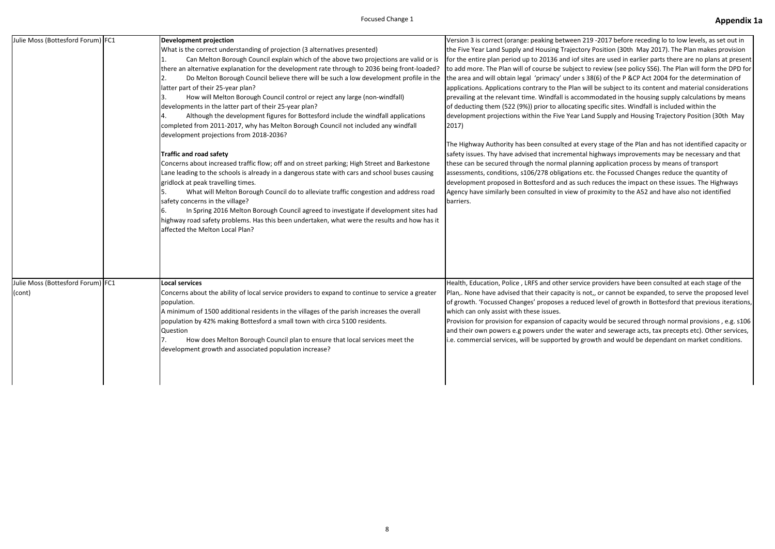| Julie Moss (Bottesford Forum) FC1 | Development projection                                                                           | Version 3 is correct (orange: peaking between 2   |
|-----------------------------------|--------------------------------------------------------------------------------------------------|---------------------------------------------------|
|                                   | What is the correct understanding of projection (3 alternatives presented)                       | the Five Year Land Supply and Housing Trajecto    |
|                                   | Can Melton Borough Council explain which of the above two projections are valid or is            | for the entire plan period up to 20136 and iof s  |
|                                   | there an alternative explanation for the development rate through to 2036 being front-loaded?    | to add more. The Plan will of course be subject   |
|                                   | Do Melton Borough Council believe there will be such a low development profile in the<br>2.      | the area and will obtain legal 'primacy' under s  |
|                                   | latter part of their 25-year plan?                                                               | applications. Applications contrary to the Plan \ |
|                                   | How will Melton Borough Council control or reject any large (non-windfall)<br>3.                 | prevailing at the relevant time. Windfall is acco |
|                                   | developments in the latter part of their 25-year plan?                                           | of deducting them (522 (9%)) prior to allocating  |
|                                   | Although the development figures for Bottesford include the windfall applications<br>4.          | development projections within the Five Year L    |
|                                   | completed from 2011-2017, why has Melton Borough Council not included any windfall               | 2017)                                             |
|                                   | development projections from 2018-2036?                                                          |                                                   |
|                                   |                                                                                                  | The Highway Authority has been consulted at e     |
|                                   | <b>Traffic and road safety</b>                                                                   | safety issues. Thy have advised that incrementa   |
|                                   | Concerns about increased traffic flow; off and on street parking; High Street and Barkestone     | these can be secured through the normal plann     |
|                                   | Lane leading to the schools is already in a dangerous state with cars and school buses causing   | assessments, conditions, s106/278 obligations     |
|                                   | gridlock at peak travelling times.                                                               | development proposed in Bottesford and as su      |
|                                   | What will Melton Borough Council do to alleviate traffic congestion and address road             | Agency have similarly been consulted in view of   |
|                                   | 5.<br>safety concerns in the village?                                                            | barriers.                                         |
|                                   |                                                                                                  |                                                   |
|                                   | In Spring 2016 Melton Borough Council agreed to investigate if development sites had<br>6.       |                                                   |
|                                   | highway road safety problems. Has this been undertaken, what were the results and how has it     |                                                   |
|                                   | affected the Melton Local Plan?                                                                  |                                                   |
|                                   |                                                                                                  |                                                   |
|                                   |                                                                                                  |                                                   |
|                                   |                                                                                                  |                                                   |
|                                   |                                                                                                  |                                                   |
| Julie Moss (Bottesford Forum) FC1 | <b>Local services</b>                                                                            | Health, Education, Police, LRFS and other servi   |
| (cont)                            | Concerns about the ability of local service providers to expand to continue to service a greater | Plan,. None have advised that their capacity is r |
|                                   | population.                                                                                      | of growth. 'Focussed Changes' proposes a redu     |
|                                   | A minimum of 1500 additional residents in the villages of the parish increases the overall       | which can only assist with these issues.          |
|                                   | population by 42% making Bottesford a small town with circa 5100 residents.                      | Provision for provision for expansion of capacit  |
|                                   | Question                                                                                         |                                                   |
|                                   |                                                                                                  | and their own powers e.g powers under the wa      |
|                                   | How does Melton Borough Council plan to ensure that local services meet the<br>7.                | i.e. commercial services, will be supported by g  |
|                                   | development growth and associated population increase?                                           |                                                   |
|                                   |                                                                                                  |                                                   |
|                                   |                                                                                                  |                                                   |
|                                   |                                                                                                  |                                                   |

219 -2017 before receding lo to low levels, as set out in ory Position (30th May 2017). The Plan makes provision sites are used in earlier parts there are no plans at present t to review (see policy SS6). The Plan will form the DPD for s 38(6) of the P &CP Act 2004 for the determination of will be subject to its content and material considerations prevalent at the housing supply calculations by means g specific sites. Windfall is included within the Land Supply and Housing Trajectory Position (30th May

every stage of the Plan and has not identified capacity or al highways improvements may be necessary and that ning application process by means of transport etc. the Focussed Changes reduce the quantity of ich reduces the impact on these issues. The Highways of proximity to the A52 and have also not identified

ice providers have been consulted at each stage of the not,, or cannot be expanded, to serve the proposed level iced level of growth in Bottesford that previous iterations,

ty would be secured through normal provisions , e.g. s106 ater and sewerage acts, tax precepts etc). Other services, growth and would be dependant on market conditions.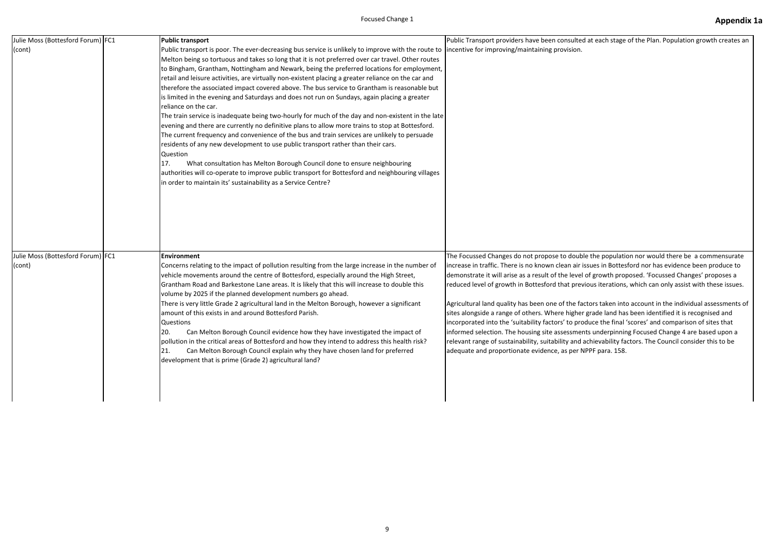| Julie Moss (Bottesford Forum) FC1           | Public transport                                                                                                                                                                                                                                                                                                                                                                                                                                                                                                                                                                                                                                                                                                                                                                                                                                                                                                                                                                                                                                                                                                                                                                                                                                                                                     | Public Transport providers have been consulted                                                                                                                                                                                                                                                                                                                                                                                                                                                                                       |
|---------------------------------------------|------------------------------------------------------------------------------------------------------------------------------------------------------------------------------------------------------------------------------------------------------------------------------------------------------------------------------------------------------------------------------------------------------------------------------------------------------------------------------------------------------------------------------------------------------------------------------------------------------------------------------------------------------------------------------------------------------------------------------------------------------------------------------------------------------------------------------------------------------------------------------------------------------------------------------------------------------------------------------------------------------------------------------------------------------------------------------------------------------------------------------------------------------------------------------------------------------------------------------------------------------------------------------------------------------|--------------------------------------------------------------------------------------------------------------------------------------------------------------------------------------------------------------------------------------------------------------------------------------------------------------------------------------------------------------------------------------------------------------------------------------------------------------------------------------------------------------------------------------|
| (cont)                                      | Public transport is poor. The ever-decreasing bus service is unlikely to improve with the route to<br>Melton being so tortuous and takes so long that it is not preferred over car travel. Other routes<br>to Bingham, Grantham, Nottingham and Newark, being the preferred locations for employment,<br>retail and leisure activities, are virtually non-existent placing a greater reliance on the car and<br>therefore the associated impact covered above. The bus service to Grantham is reasonable but<br>is limited in the evening and Saturdays and does not run on Sundays, again placing a greater<br>reliance on the car.<br>The train service is inadequate being two-hourly for much of the day and non-existent in the late<br>evening and there are currently no definitive plans to allow more trains to stop at Bottesford.<br>The current frequency and convenience of the bus and train services are unlikely to persuade<br>residents of any new development to use public transport rather than their cars.<br>Question<br>What consultation has Melton Borough Council done to ensure neighbouring<br>17.<br>authorities will co-operate to improve public transport for Bottesford and neighbouring villages<br>in order to maintain its' sustainability as a Service Centre? | incentive for improving/maintaining provision.                                                                                                                                                                                                                                                                                                                                                                                                                                                                                       |
| Julie Moss (Bottesford Forum) FC1<br>(cont) | <b>Environment</b><br>Concerns relating to the impact of pollution resulting from the large increase in the number of<br>vehicle movements around the centre of Bottesford, especially around the High Street,<br>Grantham Road and Barkestone Lane areas. It is likely that this will increase to double this<br>volume by 2025 if the planned development numbers go ahead.<br>There is very little Grade 2 agricultural land in the Melton Borough, however a significant<br>lamount of this exists in and around Bottesford Parish.<br>Questions<br>20.<br>Can Melton Borough Council evidence how they have investigated the impact of<br>pollution in the critical areas of Bottesford and how they intend to address this health risk?<br>Can Melton Borough Council explain why they have chosen land for preferred<br>21.<br>development that is prime (Grade 2) agricultural land?                                                                                                                                                                                                                                                                                                                                                                                                         | The Focussed Changes do not propose to doubl<br>increase in traffic. There is no known clean air is<br>demonstrate it will arise as a result of the level<br>reduced level of growth in Bottesford that prev<br>Agricultural land quality has been one of the fac<br>sites alongside a range of others. Where higher<br>incorporated into the 'suitability factors' to pro<br>informed selection. The housing site assessmen<br>relevant range of sustainability, suitability and a<br>adequate and proportionate evidence, as per N |

d at each stage of the Plan. Population growth creates an

ble the population nor would there be a commensurate issues in Bottesford nor has evidence been produce to l of growth proposed. 'Focussed Changes' proposes a vious iterations, which can only assist with these issues.

actors taken into account in the individual assessments of r grade land has been identified it is recognised and oduce the final 'scores' and comparison of sites that nts underpinning Focused Change 4 are based upon a achievability factors. The Council consider this to be NPPF para. 158.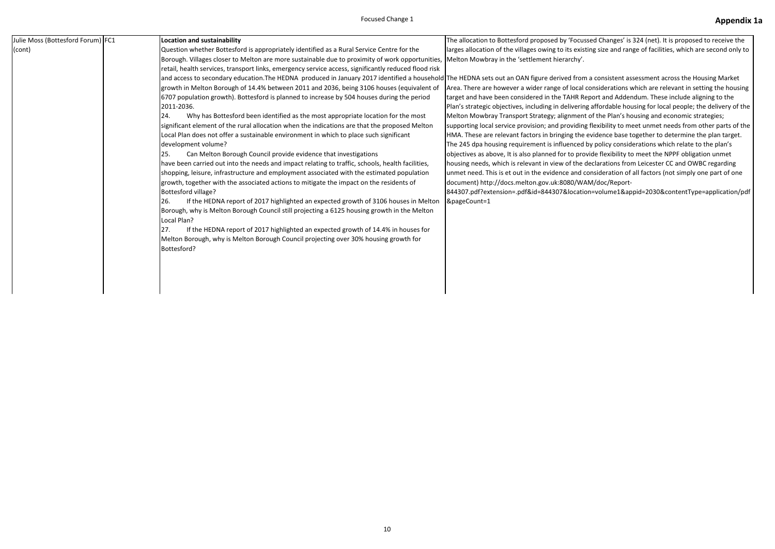| Julie Moss (Bottesford Forum) FC1 | Location and sustainability                                                                                                                | The allocation to Bottesford proposed by 'Focu      |
|-----------------------------------|--------------------------------------------------------------------------------------------------------------------------------------------|-----------------------------------------------------|
| (cont)                            | Question whether Bottesford is appropriately identified as a Rural Service Centre for the                                                  | larges allocation of the villages owing to its exis |
|                                   | Borough. Villages closer to Melton are more sustainable due to proximity of work opportunities,                                            | Melton Mowbray in the 'settlement hierarchy'.       |
|                                   | retail, health services, transport links, emergency service access, significantly reduced flood risk                                       |                                                     |
|                                   | and access to secondary education. The HEDNA produced in January 2017 identified a household The HEDNA sets out an OAN figure derived fror |                                                     |
|                                   | growth in Melton Borough of 14.4% between 2011 and 2036, being 3106 houses (equivalent of                                                  | Area. There are however a wider range of local      |
|                                   | 6707 population growth). Bottesford is planned to increase by 504 houses during the period                                                 | target and have been considered in the TAHR R       |
|                                   | 2011-2036.                                                                                                                                 | Plan's strategic objectives, including in deliverir |
|                                   | Why has Bottesford been identified as the most appropriate location for the most<br>24.                                                    | Melton Mowbray Transport Strategy; alignmen         |
|                                   | significant element of the rural allocation when the indications are that the proposed Melton                                              | supporting local service provision; and providin    |
|                                   | Local Plan does not offer a sustainable environment in which to place such significant                                                     | HMA. These are relevant factors in bringing the     |
|                                   | development volume?                                                                                                                        | The 245 dpa housing requirement is influenced       |
|                                   | Can Melton Borough Council provide evidence that investigations<br>25.                                                                     | objectives as above, It is also planned for to pro  |
|                                   | have been carried out into the needs and impact relating to traffic, schools, health facilities,                                           | housing needs, which is relevant in view of the     |
|                                   | shopping, leisure, infrastructure and employment associated with the estimated population                                                  | unmet need. This is et out in the evidence and      |
|                                   | growth, together with the associated actions to mitigate the impact on the residents of                                                    | document) http://docs.melton.gov.uk:8080/W.         |
|                                   | Bottesford village?                                                                                                                        | 844307.pdf?extension=.pdf&id=844307&locati          |
|                                   | If the HEDNA report of 2017 highlighted an expected growth of 3106 houses in Melton<br>26.                                                 | &pageCount=1                                        |
|                                   | Borough, why is Melton Borough Council still projecting a 6125 housing growth in the Melton                                                |                                                     |
|                                   | Local Plan?                                                                                                                                |                                                     |
|                                   | If the HEDNA report of 2017 highlighted an expected growth of 14.4% in houses for<br>27.                                                   |                                                     |
|                                   | Melton Borough, why is Melton Borough Council projecting over 30% housing growth for                                                       |                                                     |
|                                   | Bottesford?                                                                                                                                |                                                     |
|                                   |                                                                                                                                            |                                                     |
|                                   |                                                                                                                                            |                                                     |
|                                   |                                                                                                                                            |                                                     |
|                                   |                                                                                                                                            |                                                     |
|                                   |                                                                                                                                            |                                                     |

Issed Changes' is 324 (net). It is proposed to receive the sting size and range of facilities, which are second only to

m a consistent assessment across the Housing Market I considerations which are relevant in setting the housing Report and Addendum. These include aligning to the ng affordable housing for local people; the delivery of the It of the Plan's housing and economic strategies; ng flexibility to meet unmet needs from other parts of the e evidence base together to determine the plan target. I by policy considerations which relate to the plan's ovide flexibility to meet the NPPF obligation unmet declarations from Leicester CC and OWBC regarding consideration of all factors (not simply one part of one /AM/doc/Report-

ion=volume1&appid=2030&contentType=application/pdf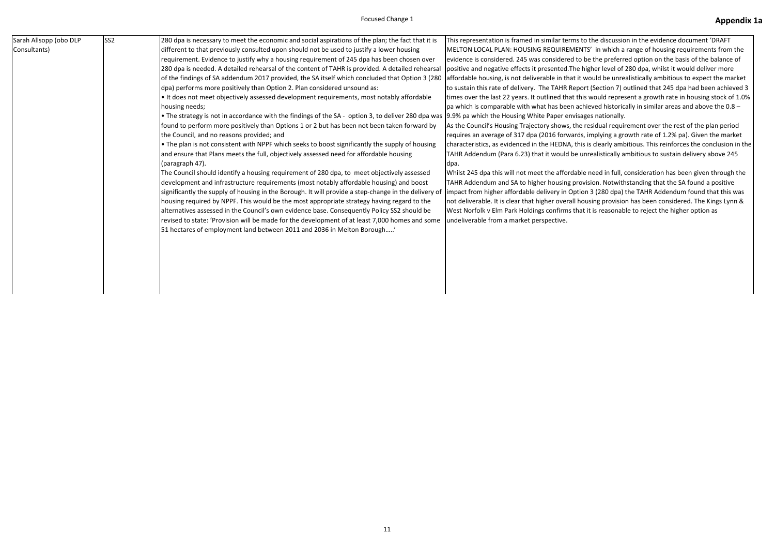| Sarah Allsopp (obo DLP | SS <sub>2</sub> | 280 dpa is necessary to meet the economic and social aspirations of the plan; the fact that it is                                                 | This representation is framed in similar terms to   |
|------------------------|-----------------|---------------------------------------------------------------------------------------------------------------------------------------------------|-----------------------------------------------------|
| Consultants)           |                 | different to that previously consulted upon should not be used to justify a lower housing                                                         | MELTON LOCAL PLAN: HOUSING REQUIREMENT              |
|                        |                 | requirement. Evidence to justify why a housing requirement of 245 dpa has been chosen over                                                        | evidence is considered. 245 was considered to I     |
|                        |                 | 280 dpa is needed. A detailed rehearsal of the content of TAHR is provided. A detailed rehearsal                                                  | positive and negative effects it presented. The h   |
|                        |                 | of the findings of SA addendum 2017 provided, the SA itself which concluded that Option 3 (280                                                    | affordable housing, is not deliverable in that it v |
|                        |                 | dpa) performs more positively than Option 2. Plan considered unsound as:                                                                          | to sustain this rate of delivery. The TAHR Repor    |
|                        |                 | . It does not meet objectively assessed development requirements, most notably affordable                                                         | times over the last 22 years. It outlined that this |
|                        |                 | housing needs;                                                                                                                                    | pa which is comparable with what has been ach       |
|                        |                 | • The strategy is not in accordance with the findings of the SA - option 3, to deliver 280 dpa was (9.9% pa which the Housing White Paper envisag |                                                     |
|                        |                 | found to perform more positively than Options 1 or 2 but has been not been taken forward by                                                       | As the Council's Housing Trajectory shows, the      |
|                        |                 | the Council, and no reasons provided; and                                                                                                         | requires an average of 317 dpa (2016 forwards,      |
|                        |                 | • The plan is not consistent with NPPF which seeks to boost significantly the supply of housing                                                   | characteristics, as evidenced in the HEDNA, this    |
|                        |                 | and ensure that Plans meets the full, objectively assessed need for affordable housing                                                            | TAHR Addendum (Para 6.23) that it would be ur       |
|                        |                 | (paragraph 47).                                                                                                                                   | dpa.                                                |
|                        |                 | The Council should identify a housing requirement of 280 dpa, to meet objectively assessed                                                        | Whilst 245 dpa this will not meet the affordable    |
|                        |                 | development and infrastructure requirements (most notably affordable housing) and boost                                                           | TAHR Addendum and SA to higher housing prov         |
|                        |                 | significantly the supply of housing in the Borough. It will provide a step-change in the delivery of                                              | impact from higher affordable delivery in Optio     |
|                        |                 | housing required by NPPF. This would be the most appropriate strategy having regard to the                                                        | not deliverable. It is clear that higher overall ho |
|                        |                 | alternatives assessed in the Council's own evidence base. Consequently Policy SS2 should be                                                       | West Norfolk v Elm Park Holdings confirms that      |
|                        |                 | revised to state: 'Provision will be made for the development of at least 7,000 homes and some                                                    | undeliverable from a market perspective.            |
|                        |                 | 51 hectares of employment land between 2011 and 2036 in Melton Borough'                                                                           |                                                     |
|                        |                 |                                                                                                                                                   |                                                     |
|                        |                 |                                                                                                                                                   |                                                     |
|                        |                 |                                                                                                                                                   |                                                     |
|                        |                 |                                                                                                                                                   |                                                     |
|                        |                 |                                                                                                                                                   |                                                     |
|                        |                 |                                                                                                                                                   |                                                     |
|                        |                 |                                                                                                                                                   |                                                     |

to the discussion in the evidence document 'DRAFT' TS' in which a range of housing requirements from the be the preferred option on the basis of the balance of higher level of 280 dpa, whilst it would deliver more would be unrealistically ambitious to expect the market ort (Section 7) outlined that 245 dpa had been achieved 3 is would represent a growth rate in housing stock of 1.0% hieved historically in similar areas and above the  $0.8$  – ges nationally.

residual requirement over the rest of the plan period implying a growth rate of 1.2% pa). Given the market is clearly ambitious. This reinforces the conclusion in the Inrealistically ambitious to sustain delivery above 245

Ineed in full, consideration has been given through the vision. Notwithstanding that the SA found a positive on 3 (280 dpa) the TAHR Addendum found that this was ousing provision has been considered. The Kings Lynn & If it is reasonable to reject the higher option as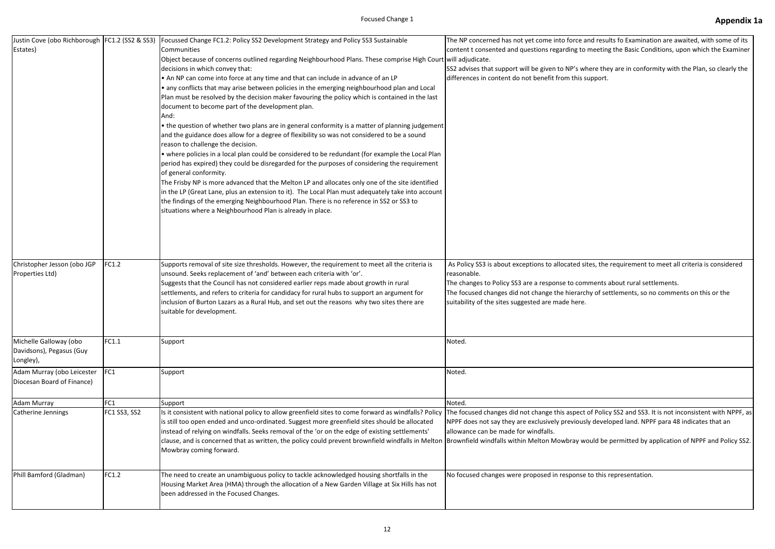| Justin Cove (obo Richborough   FC1.2 (SS2 & SS3) |                     | Focussed Change FC1.2: Policy SS2 Development Strategy and Policy SS3 Sustainable                                                              | The NP concerned has not yet come into force a    |
|--------------------------------------------------|---------------------|------------------------------------------------------------------------------------------------------------------------------------------------|---------------------------------------------------|
| Estates)                                         |                     | Communities                                                                                                                                    | content t consented and questions regarding to    |
|                                                  |                     | Object because of concerns outlined regarding Neighbourhood Plans. These comprise High Court will adjudicate.                                  |                                                   |
|                                                  |                     | decisions in which convey that:                                                                                                                | SS2 advises that support will be given to NP's w  |
|                                                  |                     | • An NP can come into force at any time and that can include in advance of an LP                                                               | differences in content do not benefit from this s |
|                                                  |                     | • any conflicts that may arise between policies in the emerging neighbourhood plan and Local                                                   |                                                   |
|                                                  |                     | Plan must be resolved by the decision maker favouring the policy which is contained in the last                                                |                                                   |
|                                                  |                     | document to become part of the development plan.                                                                                               |                                                   |
|                                                  |                     | And:                                                                                                                                           |                                                   |
|                                                  |                     | • the question of whether two plans are in general conformity is a matter of planning judgement                                                |                                                   |
|                                                  |                     | and the guidance does allow for a degree of flexibility so was not considered to be a sound                                                    |                                                   |
|                                                  |                     | reason to challenge the decision.                                                                                                              |                                                   |
|                                                  |                     | . where policies in a local plan could be considered to be redundant (for example the Local Plan                                               |                                                   |
|                                                  |                     | period has expired) they could be disregarded for the purposes of considering the requirement                                                  |                                                   |
|                                                  |                     | of general conformity.                                                                                                                         |                                                   |
|                                                  |                     | The Frisby NP is more advanced that the Melton LP and allocates only one of the site identified                                                |                                                   |
|                                                  |                     | in the LP (Great Lane, plus an extension to it). The Local Plan must adequately take into account                                              |                                                   |
|                                                  |                     | the findings of the emerging Neighbourhood Plan. There is no reference in SS2 or SS3 to                                                        |                                                   |
|                                                  |                     | situations where a Neighbourhood Plan is already in place.                                                                                     |                                                   |
|                                                  |                     |                                                                                                                                                |                                                   |
|                                                  |                     |                                                                                                                                                |                                                   |
|                                                  |                     |                                                                                                                                                |                                                   |
|                                                  |                     |                                                                                                                                                |                                                   |
| Christopher Jesson (obo JGP                      | FC1.2               | Supports removal of site size thresholds. However, the requirement to meet all the criteria is                                                 | As Policy SS3 is about exceptions to allocated si |
| Properties Ltd)                                  |                     | unsound. Seeks replacement of 'and' between each criteria with 'or'.                                                                           | reasonable.                                       |
|                                                  |                     | Suggests that the Council has not considered earlier reps made about growth in rural                                                           | The changes to Policy SS3 are a response to con   |
|                                                  |                     | settlements, and refers to criteria for candidacy for rural hubs to support an argument for                                                    | The focused changes did not change the hierarc    |
|                                                  |                     | inclusion of Burton Lazars as a Rural Hub, and set out the reasons why two sites there are                                                     | suitability of the sites suggested are made here. |
|                                                  |                     | suitable for development.                                                                                                                      |                                                   |
|                                                  |                     |                                                                                                                                                |                                                   |
|                                                  |                     |                                                                                                                                                |                                                   |
| Michelle Galloway (obo                           | FC1.1               | Support                                                                                                                                        | Noted.                                            |
| Davidsons), Pegasus (Guy                         |                     |                                                                                                                                                |                                                   |
| Longley),                                        |                     |                                                                                                                                                |                                                   |
| Adam Murray (obo Leicester                       | FC <sub>1</sub>     | Support                                                                                                                                        | Noted.                                            |
| Diocesan Board of Finance)                       |                     |                                                                                                                                                |                                                   |
|                                                  |                     |                                                                                                                                                |                                                   |
| <b>Adam Murray</b>                               | FC1                 | Support                                                                                                                                        | Noted.                                            |
| Catherine Jennings                               | <b>FC1 SS3, SS2</b> | Is it consistent with national policy to allow greenfield sites to come forward as windfalls? Policy                                           | The focused changes did not change this aspect    |
|                                                  |                     | is still too open ended and unco-ordinated. Suggest more greenfield sites should be allocated                                                  | NPPF does not say they are exclusively previous   |
|                                                  |                     | instead of relying on windfalls. Seeks removal of the 'or on the edge of existing settlements'                                                 | allowance can be made for windfalls.              |
|                                                  |                     | clause, and is concerned that as written, the policy could prevent brownfield windfalls in Melton Brownfield windfalls within Melton Mowbray w |                                                   |
|                                                  |                     | Mowbray coming forward.                                                                                                                        |                                                   |
|                                                  |                     |                                                                                                                                                |                                                   |
| Phill Bamford (Gladman)                          | FC1.2               | The need to create an unambiguous policy to tackle acknowledged housing shortfalls in the                                                      | No focused changes were proposed in response      |
|                                                  |                     | Housing Market Area (HMA) through the allocation of a New Garden Village at Six Hills has not                                                  |                                                   |
|                                                  |                     | been addressed in the Focused Changes.                                                                                                         |                                                   |
|                                                  |                     |                                                                                                                                                |                                                   |
|                                                  |                     |                                                                                                                                                |                                                   |

and results fo Examination are awaited, with some of its to meeting the Basic Conditions, upon which the Examiner

where they are in conformity with the Plan, so clearly the support.

sites, the requirement to meet all criteria is considered

mments about rural settlements. rchy of settlements, so no comments on this or the

t of Policy SS2 and SS3. It is not inconsistent with NPPF, as isly developed land. NPPF para 48 indicates that an

would be permitted by application of NPPF and Policy SS2.

se to this representation.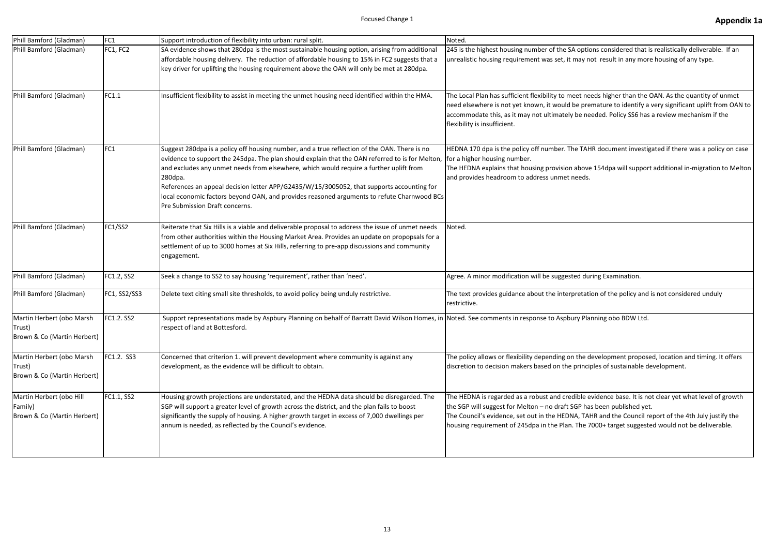| Phill Bamford (Gladman)                                            | FC1          | Support introduction of flexibility into urban: rural split.                                                                                                                                                                                                                                                                                                                                                                                                                                                                      | Noted.                                                                                                                                                                                                                                                                          |
|--------------------------------------------------------------------|--------------|-----------------------------------------------------------------------------------------------------------------------------------------------------------------------------------------------------------------------------------------------------------------------------------------------------------------------------------------------------------------------------------------------------------------------------------------------------------------------------------------------------------------------------------|---------------------------------------------------------------------------------------------------------------------------------------------------------------------------------------------------------------------------------------------------------------------------------|
| Phill Bamford (Gladman)                                            | FC1, FC2     | SA evidence shows that 280dpa is the most sustainable housing option, arising from additional<br>affordable housing delivery. The reduction of affordable housing to 15% in FC2 suggests that a<br>key driver for uplifting the housing requirement above the OAN will only be met at 280dpa.                                                                                                                                                                                                                                     | 245 is the highest housing number of the SA options considered th<br>unrealistic housing requirement was set, it may not result in any n                                                                                                                                        |
| Phill Bamford (Gladman)                                            | FC1.1        | Insufficient flexibility to assist in meeting the unmet housing need identified within the HMA.                                                                                                                                                                                                                                                                                                                                                                                                                                   | The Local Plan has sufficient flexibility to meet needs higher than t<br>need elsewhere is not yet known, it would be premature to identif<br>accommodate this, as it may not ultimately be needed. Policy SS6<br>flexibility is insufficient.                                  |
| Phill Bamford (Gladman)                                            | FC1          | Suggest 280dpa is a policy off housing number, and a true reflection of the OAN. There is no<br>evidence to support the 245dpa. The plan should explain that the OAN referred to is for Melton,<br>and excludes any unmet needs from elsewhere, which would require a further uplift from<br>280dpa.<br>References an appeal decision letter APP/G2435/W/15/3005052, that supports accounting for<br>local economic factors beyond OAN, and provides reasoned arguments to refute Charnwood BCs<br>Pre Submission Draft concerns. | HEDNA 170 dpa is the policy off number. The TAHR document inve<br>for a higher housing number.<br>The HEDNA explains that housing provision above 154dpa will sup<br>and provides headroom to address unmet needs.                                                              |
| Phill Bamford (Gladman)                                            | FC1/SS2      | Reiterate that Six Hills is a viable and deliverable proposal to address the issue of unmet needs<br>from other authorities within the Housing Market Area. Provides an update on propopsals for a<br>settlement of up to 3000 homes at Six Hills, referring to pre-app discussions and community<br>engagement.                                                                                                                                                                                                                  | Noted.                                                                                                                                                                                                                                                                          |
| Phill Bamford (Gladman)                                            | FC1.2, SS2   | Seek a change to SS2 to say housing 'requirement', rather than 'need'.                                                                                                                                                                                                                                                                                                                                                                                                                                                            | Agree. A minor modification will be suggested during Examination.                                                                                                                                                                                                               |
| Phill Bamford (Gladman)                                            | FC1, SS2/SS3 | Delete text citing small site thresholds, to avoid policy being unduly restrictive.                                                                                                                                                                                                                                                                                                                                                                                                                                               | The text provides guidance about the interpretation of the policy a<br>restrictive.                                                                                                                                                                                             |
| Martin Herbert (obo Marsh<br>Trust)<br>Brown & Co (Martin Herbert) | FC1.2. SS2   | Support representations made by Aspbury Planning on behalf of Barratt David Wilson Homes, in Noted. See comments in response to Aspbury Planning obo BDW L<br>respect of land at Bottesford.                                                                                                                                                                                                                                                                                                                                      |                                                                                                                                                                                                                                                                                 |
| Martin Herbert (obo Marsh<br>Trust)<br>Brown & Co (Martin Herbert) | FC1.2. SS3   | Concerned that criterion 1. will prevent development where community is against any<br>development, as the evidence will be difficult to obtain.                                                                                                                                                                                                                                                                                                                                                                                  | The policy allows or flexibility depending on the development prop<br>discretion to decision makers based on the principles of sustainabl                                                                                                                                       |
| Martin Herbert (obo Hill<br>Family)<br>Brown & Co (Martin Herbert) | FC1.1, SS2   | Housing growth projections are understated, and the HEDNA data should be disregarded. The<br>SGP will support a greater level of growth across the district, and the plan fails to boost<br>significantly the supply of housing. A higher growth target in excess of 7,000 dwellings per<br>annum is needed, as reflected by the Council's evidence.                                                                                                                                                                              | The HEDNA is regarded as a robust and credible evidence base. It i<br>the SGP will suggest for Melton - no draft SGP has been published<br>The Council's evidence, set out in the HEDNA, TAHR and the Cound<br>housing requirement of 245dpa in the Plan. The 7000+ target sugg |

otions considered that is realistically deliverable. If an not result in any more housing of any type.

needs higher than the OAN. As the quantity of unmet nemature to identify a very significant uplift from OAN to needed. Policy SS6 has a review mechanism if the

AHR document investigated if there was a policy on case

The 154dpa will support additional in-migration to Melton

ation of the policy and is not considered unduly

Planning obo BDW Ltd.

development proposed, location and timing. It offers nciples of sustainable development.

e evidence base. It is not clear yet what level of growth has been published yet.

TAHR and the Council report of the 4th July justify the ahousing 7000+ target suggested would not be deliverable.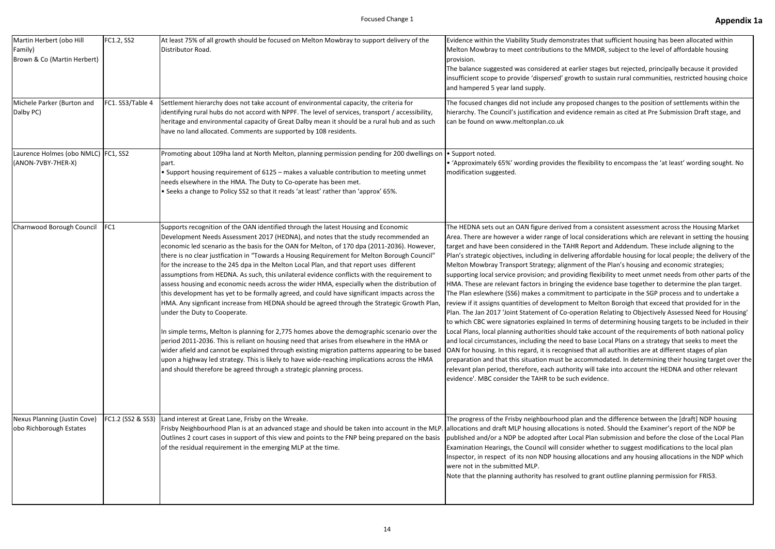### Focused Change 1 **Appendix 1a**

| Martin Herbert (obo Hill<br>Family)<br>Brown & Co (Martin Herbert) | FC1.2, SS2        | At least 75% of all growth should be focused on Melton Mowbray to support delivery of the<br>Distributor Road.                                                                                                                                                                                                                                                                                                                                                                                                                                                                                                                                                                                                                                                                                                                                                                                                                                                                                                                                                                                                                                                                                                                                                                                                                                                            | Evidence within the Viability Study demonstrat<br>Melton Mowbray to meet contributions to the<br>provision.<br>The balance suggested was considered at earlie<br>insufficient scope to provide 'dispersed' growtl<br>and hampered 5 year land supply.                                                                                                                                                                                                                                                                                                                                                                                                                                                                                                                                                                                                                                   |
|--------------------------------------------------------------------|-------------------|---------------------------------------------------------------------------------------------------------------------------------------------------------------------------------------------------------------------------------------------------------------------------------------------------------------------------------------------------------------------------------------------------------------------------------------------------------------------------------------------------------------------------------------------------------------------------------------------------------------------------------------------------------------------------------------------------------------------------------------------------------------------------------------------------------------------------------------------------------------------------------------------------------------------------------------------------------------------------------------------------------------------------------------------------------------------------------------------------------------------------------------------------------------------------------------------------------------------------------------------------------------------------------------------------------------------------------------------------------------------------|-----------------------------------------------------------------------------------------------------------------------------------------------------------------------------------------------------------------------------------------------------------------------------------------------------------------------------------------------------------------------------------------------------------------------------------------------------------------------------------------------------------------------------------------------------------------------------------------------------------------------------------------------------------------------------------------------------------------------------------------------------------------------------------------------------------------------------------------------------------------------------------------|
| Michele Parker (Burton and<br>Dalby PC)                            | FC1. SS3/Table 4  | Settlement hierarchy does not take account of environmental capacity, the criteria for<br>identifying rural hubs do not accord with NPPF. The level of services, transport / accessibility,<br>heritage and environmental capacity of Great Dalby mean it should be a rural hub and as such<br>have no land allocated. Comments are supported by 108 residents.                                                                                                                                                                                                                                                                                                                                                                                                                                                                                                                                                                                                                                                                                                                                                                                                                                                                                                                                                                                                           | The focused changes did not include any propo<br>hierarchy. The Council's justification and evider<br>can be found on www.meltonplan.co.uk                                                                                                                                                                                                                                                                                                                                                                                                                                                                                                                                                                                                                                                                                                                                              |
| Laurence Holmes (obo NMLC) FC1, SS2<br>(ANON-7VBY-7HER-X)          |                   | Promoting about 109ha land at North Melton, planning permission pending for 200 dwellings on  • Support noted.<br>lpart.<br>• Support housing requirement of 6125 - makes a valuable contribution to meeting unmet<br>needs elsewhere in the HMA. The Duty to Co-operate has been met.<br>• Seeks a change to Policy SS2 so that it reads 'at least' rather than 'approx' 65%.                                                                                                                                                                                                                                                                                                                                                                                                                                                                                                                                                                                                                                                                                                                                                                                                                                                                                                                                                                                            | • 'Approximately 65%' wording provides the fle<br>modification suggested.                                                                                                                                                                                                                                                                                                                                                                                                                                                                                                                                                                                                                                                                                                                                                                                                               |
| Charnwood Borough Council                                          | FC1               | Supports recognition of the OAN identified through the latest Housing and Economic<br>Development Needs Assessment 2017 (HEDNA), and notes that the study recommended an<br>economic led scenario as the basis for the OAN for Melton, of 170 dpa (2011-2036). However,<br>there is no clear justfication in "Towards a Housing Requirement for Melton Borough Council"<br>for the increase to the 245 dpa in the Melton Local Plan, and that report uses different<br>assumptions from HEDNA. As such, this unilateral evidence conflicts with the requirement to<br>assess housing and economic needs across the wider HMA, especially when the distribution of<br>this development has yet to be formally agreed, and could have significant impacts across the<br>HMA. Any signficant increase from HEDNA should be agreed through the Strategic Growth Plan,<br>under the Duty to Cooperate.<br>In simple terms, Melton is planning for 2,775 homes above the demographic scenario over the<br>period 2011-2036. This is reliant on housing need that arises from elsewhere in the HMA or<br>wider afield and cannot be explained through existing migration patterns appearing to be based<br>upon a highway led strategy. This is likely to have wide-reaching implications across the HMA<br>and should therefore be agreed through a strategic planning process. | The HEDNA sets out an OAN figure derived fror<br>Area. There are however a wider range of local<br>target and have been considered in the TAHR R<br>Plan's strategic objectives, including in deliveri<br>Melton Mowbray Transport Strategy; alignmer<br>supporting local service provision; and providir<br>HMA. These are relevant factors in bringing the<br>The Plan eslewhere (SS6) makes a commitment<br>review if it assigns quantities of development t<br>Plan. The Jan 2017 'Joint Statement of Co-oper<br>to which CBC were signatories explained In teri<br>Local Plans, local planning authorities should ta<br>and local circumstances, including the need to<br>OAN for housing. In this regard, it is recognised<br>preparation and that this situation must be acc<br>relevant plan period, therefore, each authority<br>evidence'. MBC consider the TAHR to be such e |
| <b>Nexus Planning (Justin Cove)</b><br>obo Richborough Estates     | FC1.2 (SS2 & SS3) | Land interest at Great Lane, Frisby on the Wreake.<br>Frisby Neighbourhood Plan is at an advanced stage and should be taken into account in the MLP<br>Outlines 2 court cases in support of this view and points to the FNP being prepared on the basis<br>of the residual requirement in the emerging MLP at the time.                                                                                                                                                                                                                                                                                                                                                                                                                                                                                                                                                                                                                                                                                                                                                                                                                                                                                                                                                                                                                                                   | The progress of the Frisby neighbourhood plan<br>allocations and draft MLP housing allocations is<br>published and/or a NDP be adopted after Local<br>Examination Hearings, the Council will consider<br>Inspector, in respect of its non NDP housing al<br>were not in the submitted MLP.<br>Note that the planning authority has resolved t                                                                                                                                                                                                                                                                                                                                                                                                                                                                                                                                           |

tes that sufficient housing has been allocated within MMDR, subject to the level of affordable housing

er stages but rejected, principally because it provided In to sustain rural communities, restricted housing choice

osed changes to the position of settlements within the nce remain as cited at Pre Submission Draft stage, and

exibility to encompass the 'at least' wording sought. No

m a consistent assessment across the Housing Market I considerations which are relevant in setting the housing Report and Addendum. These include aligning to the ng affordable housing for local people; the delivery of the It of the Plan's housing and economic strategies; ng flexibility to meet unmet needs from other parts of the e evidence base together to determine the plan target. nt to participate in the SGP process and to undertake a to Melton Boroigh that exceed that provided for in the ration Relating to Objectively Assessed Need for Housing' ms of determining housing targets to be included in their ake account of the requirements of both national policy base Local Plans on a strategy that seeks to meet the I that all authorities are at different stages of plan commodated. In determining their housing target over the will take into account the HEDNA and other relevant evidence.

and the difference between the [draft] NDP housing s noted. Should the Examiner's report of the NDP be I Plan submission and before the close of the Local Plan r whether to suggest modifications to the local plan Iocations and any housing allocations in the NDP which

to grant outline planning permission for FRIS3.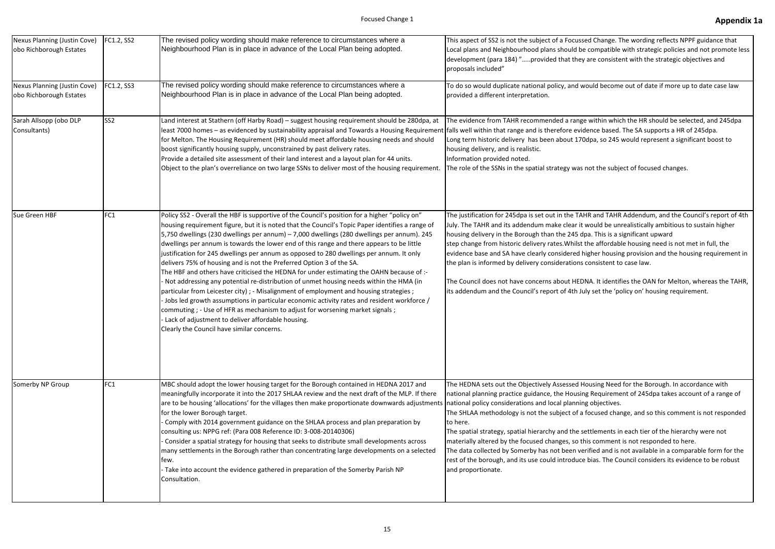| Nexus Planning (Justin Cove)<br>obo Richborough Estates | FC1.2, SS2      | The revised policy wording should make reference to circumstances where a<br>Neighbourhood Plan is in place in advance of the Local Plan being adopted.                                                                                                                                                                                                                                                                                                                                                                                                                                                                                                                                                                                                                                                                                                                                                                                                                                                                                                                                                                              | This aspect of SS2 is not the subject of a Focuss<br>Local plans and Neighbourhood plans should be<br>development (para 184) "provided that they<br>proposals included"                                                                                                                                                                                                                                                                               |
|---------------------------------------------------------|-----------------|--------------------------------------------------------------------------------------------------------------------------------------------------------------------------------------------------------------------------------------------------------------------------------------------------------------------------------------------------------------------------------------------------------------------------------------------------------------------------------------------------------------------------------------------------------------------------------------------------------------------------------------------------------------------------------------------------------------------------------------------------------------------------------------------------------------------------------------------------------------------------------------------------------------------------------------------------------------------------------------------------------------------------------------------------------------------------------------------------------------------------------------|-------------------------------------------------------------------------------------------------------------------------------------------------------------------------------------------------------------------------------------------------------------------------------------------------------------------------------------------------------------------------------------------------------------------------------------------------------|
| Nexus Planning (Justin Cove)<br>obo Richborough Estates | FC1.2, SS3      | The revised policy wording should make reference to circumstances where a<br>Neighbourhood Plan is in place in advance of the Local Plan being adopted.                                                                                                                                                                                                                                                                                                                                                                                                                                                                                                                                                                                                                                                                                                                                                                                                                                                                                                                                                                              | To do so would duplicate national policy, and w<br>provided a different interpretation.                                                                                                                                                                                                                                                                                                                                                               |
| Sarah Allsopp (obo DLP<br>Consultants)                  | SS <sub>2</sub> | Land interest at Stathern (off Harby Road) - suggest housing requirement should be 280dpa, at<br>least 7000 homes – as evidenced by sustainability appraisal and Towards a Housing Requirement falls well within that range and is therefore evic<br>for Melton. The Housing Requirement (HR) should meet affordable housing needs and should<br>boost significantly housing supply, unconstrained by past delivery rates.<br>Provide a detailed site assessment of their land interest and a layout plan for 44 units.<br>Object to the plan's overreliance on two large SSNs to deliver most of the housing requirement.                                                                                                                                                                                                                                                                                                                                                                                                                                                                                                           | The evidence from TAHR recommended a rang<br>Long term historic delivery has been about 170<br>housing delivery, and is realistic.<br>Information provided noted.<br>The role of the SSNs in the spatial strategy was                                                                                                                                                                                                                                 |
| Sue Green HBF                                           | FC1             | Policy SS2 - Overall the HBF is supportive of the Council's position for a higher "policy on"<br>housing requirement figure, but it is noted that the Council's Topic Paper identifies a range of<br>5,750 dwellings (230 dwellings per annum) - 7,000 dwellings (280 dwellings per annum). 245<br>dwellings per annum is towards the lower end of this range and there appears to be little<br>justification for 245 dwellings per annum as opposed to 280 dwellings per annum. It only<br>delivers 75% of housing and is not the Preferred Option 3 of the SA.<br>The HBF and others have criticised the HEDNA for under estimating the OAHN because of :-<br>Not addressing any potential re-distribution of unmet housing needs within the HMA (in<br>particular from Leicester city) ; - Misalignment of employment and housing strategies ;<br>Jobs led growth assumptions in particular economic activity rates and resident workforce /<br>commuting ; - Use of HFR as mechanism to adjust for worsening market signals ;<br>Lack of adjustment to deliver affordable housing.<br>Clearly the Council have similar concerns. | The justification for 245dpa is set out in the TA<br>July. The TAHR and its addendum make clear it<br>housing delivery in the Borough than the 245 d<br>step change from historic delivery rates. Whilst<br>evidence base and SA have clearly considered h<br>the plan is informed by delivery considerations<br>The Council does not have concerns about HED<br>its addendum and the Council's report of 4th Ju                                      |
| Somerby NP Group                                        | FC1             | MBC should adopt the lower housing target for the Borough contained in HEDNA 2017 and<br>meaningfully incorporate it into the 2017 SHLAA review and the next draft of the MLP. If there<br>are to be housing 'allocations' for the villages then make proportionate downwards adjustments<br>for the lower Borough target.<br>Comply with 2014 government guidance on the SHLAA process and plan preparation by<br>consulting us: NPPG ref: (Para 008 Reference ID: 3-008-20140306)<br>Consider a spatial strategy for housing that seeks to distribute small developments across<br>many settlements in the Borough rather than concentrating large developments on a selected<br>few.<br>Take into account the evidence gathered in preparation of the Somerby Parish NP<br>Consultation.                                                                                                                                                                                                                                                                                                                                          | The HEDNA sets out the Objectively Assessed H<br>national planning practice guidance, the Housir<br>national policy considerations and local plannir<br>The SHLAA methodology is not the subject of a<br>to here.<br>The spatial strategy, spatial hierarchy and the s<br>materially altered by the focused changes, so tl<br>The data collected by Somerby has not been ve<br>rest of the borough, and its use could introduce<br>and proportionate. |

sed Change. The wording reflects NPPF guidance that Le compatible with strategic policies and not promote less y are consistent with the strategic objectives and

would become out of date if more up to date case law

ge within which the HR should be selected, and 245dpa dence based. The SA supports a HR of 245dpa. Odpa, so 245 would represent a significant boost to

Inot the subject of focused changes.

HR and TAHR Addendum, and the Council's report of 4th If would be unrealistically ambitious to sustain higher Ipa. This is a significant upward

the affordable housing need is not met in full, the higher housing provision and the housing requirement in the consistent to case law.

INA. It identifies the OAN for Melton, whereas the TAHR, uly set the 'policy on' housing requirement.

Housing Need for the Borough. In accordance with ng Requirement of 245dpa takes account of a range of ng objectives.

focused change, and so this comment is not responded

settlements in each tier of the hierarchy were not his comment is not responded to here.

erified and is not available in a comparable form for the e bias. The Council considers its evidence to be robust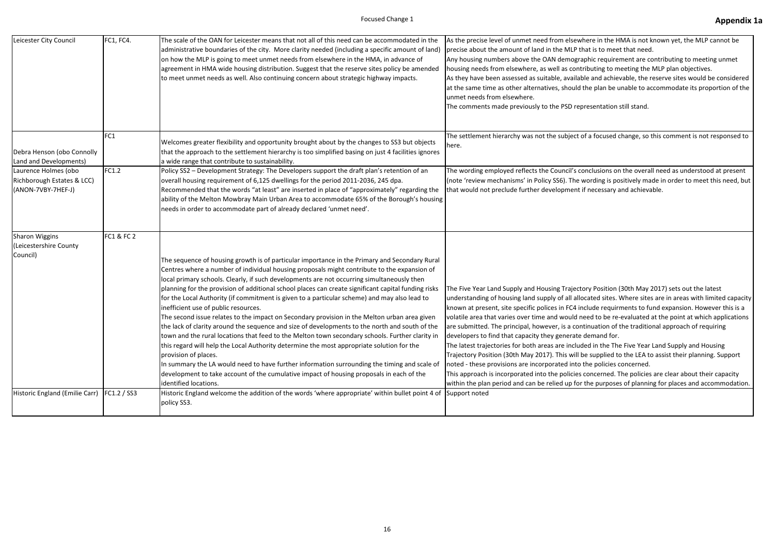| Leicester City Council                                                   | FC1, FC4.             | The scale of the OAN for Leicester means that not all of this need can be accommodated in the<br>administrative boundaries of the city. More clarity needed (including a specific amount of land)<br>on how the MLP is going to meet unmet needs from elsewhere in the HMA, in advance of<br>agreement in HMA wide housing distribution. Suggest that the reserve sites policy be amended<br>to meet unmet needs as well. Also continuing concern about strategic highway impacts.                                                                                                                                                                                                                                                                                                                                                                                                                                                                                                                                                                                                                                                                                                       | As the precise level of unmet need from elsewh<br>precise about the amount of land in the MLP th<br>Any housing numbers above the OAN demogra<br>housing needs from elsewhere, as well as contr<br>As they have been assessed as suitable, availab<br>at the same time as other alternatives, should t<br>unmet needs from elsewhere.<br>The comments made previously to the PSD rep                                                                                                                                                                                                       |
|--------------------------------------------------------------------------|-----------------------|------------------------------------------------------------------------------------------------------------------------------------------------------------------------------------------------------------------------------------------------------------------------------------------------------------------------------------------------------------------------------------------------------------------------------------------------------------------------------------------------------------------------------------------------------------------------------------------------------------------------------------------------------------------------------------------------------------------------------------------------------------------------------------------------------------------------------------------------------------------------------------------------------------------------------------------------------------------------------------------------------------------------------------------------------------------------------------------------------------------------------------------------------------------------------------------|--------------------------------------------------------------------------------------------------------------------------------------------------------------------------------------------------------------------------------------------------------------------------------------------------------------------------------------------------------------------------------------------------------------------------------------------------------------------------------------------------------------------------------------------------------------------------------------------|
| Debra Henson (obo Connolly<br>Land and Developments)                     | FC <sub>1</sub>       | Welcomes greater flexibility and opportunity brought about by the changes to SS3 but objects<br>that the approach to the settlement hierarchy is too simplified basing on just 4 facilities ignores<br>a wide range that contribute to sustainability.                                                                                                                                                                                                                                                                                                                                                                                                                                                                                                                                                                                                                                                                                                                                                                                                                                                                                                                                   | The settlement hierarchy was not the subject o<br>here.                                                                                                                                                                                                                                                                                                                                                                                                                                                                                                                                    |
| Laurence Holmes (obo<br>Richborough Estates & LCC)<br>(ANON-7VBY-7HEF-J) | FC1.2                 | Policy SS2 - Development Strategy: The Developers support the draft plan's retention of an<br>overall housing requirement of 6,125 dwellings for the period 2011-2036, 245 dpa.<br>Recommended that the words "at least" are inserted in place of "approximately" regarding the<br>ability of the Melton Mowbray Main Urban Area to accommodate 65% of the Borough's housing<br>needs in order to accommodate part of already declared 'unmet need'.                                                                                                                                                                                                                                                                                                                                                                                                                                                                                                                                                                                                                                                                                                                                     | The wording employed reflects the Council's co<br>(note 'review mechanisms' in Policy SS6). The w<br>that would not preclude further development if                                                                                                                                                                                                                                                                                                                                                                                                                                        |
| <b>Sharon Wiggins</b><br>(Leicestershire County<br>Council)              | <b>FC1 &amp; FC 2</b> | The sequence of housing growth is of particular importance in the Primary and Secondary Rural<br>Centres where a number of individual housing proposals might contribute to the expansion of<br>local primary schools. Clearly, if such developments are not occurring simultaneously then<br>planning for the provision of additional school places can create significant capital funding risks<br>for the Local Authority (if commitment is given to a particular scheme) and may also lead to<br>inefficient use of public resources.<br>The second issue relates to the impact on Secondary provision in the Melton urban area given<br>the lack of clarity around the sequence and size of developments to the north and south of the<br>town and the rural locations that feed to the Melton town secondary schools. Further clarity in<br>this regard will help the Local Authority determine the most appropriate solution for the<br>provision of places.<br>In summary the LA would need to have further information surrounding the timing and scale of<br>development to take account of the cumulative impact of housing proposals in each of the<br>identified locations. | The Five Year Land Supply and Housing Trajecto<br>understanding of housing land supply of all allo<br>known at present, site specific polices in FC4 in<br>volatile area that varies over time and would ne<br>are submitted. The principal, however, is a cont<br>developers to find that capacity they generate of<br>The latest trajectories for both areas are include<br>Trajectory Position (30th May 2017). This will b<br>noted - these provisions are incorporated into t<br>This approach is incorporated into the policies o<br>within the plan period and can be relied up for |
| Historic England (Emilie Carr)   FC1.2 / SS3                             |                       | Historic England welcome the addition of the words 'where appropriate' within bullet point 4 of<br>policy SS3.                                                                                                                                                                                                                                                                                                                                                                                                                                                                                                                                                                                                                                                                                                                                                                                                                                                                                                                                                                                                                                                                           | Support noted                                                                                                                                                                                                                                                                                                                                                                                                                                                                                                                                                                              |

- here in the HMA is not known yet, the MLP cannot be hat is to meet that need.
- aphic requirement are contributing to meeting unmet ributing to meeting the MLP plan objectives.
- le and achievable, the reserve sites would be considered the plan be unable to accommodate its proportion of the

presentation still stand.

of a focused change, so this comment is not responsed to

onclusions on the overall need as understood at present wording is positively made in order to meet this need, but f necessary and achievable.

- ory Position (30th May 2017) sets out the latest
- ocated sites. Where sites are in areas with limited capacity iclude requirments to fund expansion. However this is a eed to be re-evaluated at the point at which applications tinuation of the traditional approach of requiring demand for.
- Ied in the The Five Year Land Supply and Housing Trajectory Position opersition is apported to the LEA to assist their planning. Support the policies concerned.
- concerned. The policies are clear about their capacity the purposes of planning for places and accommodation.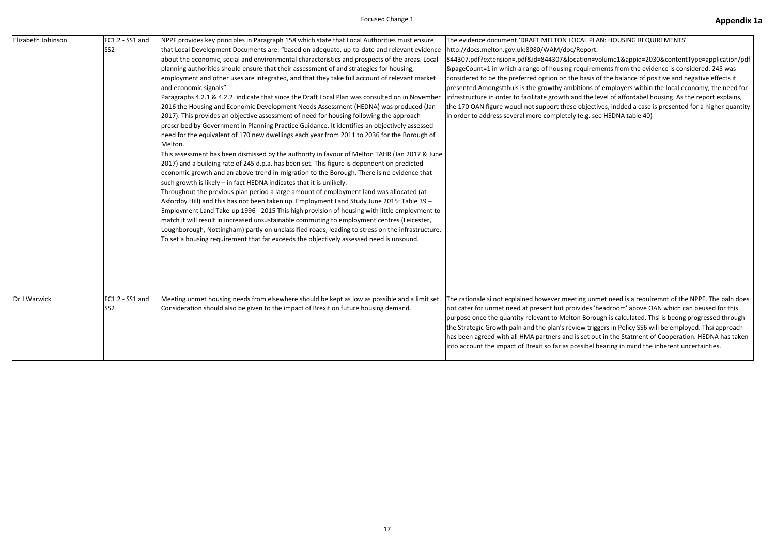| Elizabeth Johinson | FC1.2 - SS1 and<br>SS <sub>2</sub> | NPPF provides key principles in Paragraph 158 which state that Local Authorities must ensure<br>that Local Development Documents are: "based on adequate, up-to-date and relevant evidence<br>about the economic, social and environmental characteristics and prospects of the areas. Local<br>planning authorities should ensure that their assessment of and strategies for housing,<br>employment and other uses are integrated, and that they take full account of relevant market<br>and economic signals"<br>Paragraphs 4.2.1 & 4.2.2. indicate that since the Draft Local Plan was consulted on in November<br>2016 the Housing and Economic Development Needs Assessment (HEDNA) was produced (Jan<br>2017). This provides an objective assessment of need for housing following the approach<br>prescribed by Government in Planning Practice Guidance. It identifies an objectively assessed<br>need for the equivalent of 170 new dwellings each year from 2011 to 2036 for the Borough of<br>Melton.<br>This assessment has been dismissed by the authority in favour of Melton TAHR (Jan 2017 & June<br>2017) and a building rate of 245 d.p.a. has been set. This figure is dependent on predicted<br>economic growth and an above-trend in-migration to the Borough. There is no evidence that<br>such growth is likely - in fact HEDNA indicates that it is unlikely.<br>Throughout the previous plan period a large amount of employment land was allocated (at<br>Asfordby Hill) and this has not been taken up. Employment Land Study June 2015: Table 39 -<br>Employment Land Take-up 1996 - 2015 This high provision of housing with little employment to<br>match it will result in increased unsustainable commuting to employment centres (Leicester,<br>Loughborough, Nottingham) partly on unclassified roads, leading to stress on the infrastructure.<br>To set a housing requirement that far exceeds the objectively assessed need is unsound. | The evidence document 'DRAFT MELTON LOCA<br>http://docs.melton.gov.uk:8080/WAM/doc/Re<br>844307.pdf?extension=.pdf&id=844307&locati<br>&pageCount=1 in which a range of housing req<br>considered to be the preferred option on the b<br>presented.Amongstthuis is the growthy ambition<br>infrastructure in order to facilitate growth and<br>the 170 OAN figure woudl not support these ob<br>in order to address several more completely (e. |
|--------------------|------------------------------------|-------------------------------------------------------------------------------------------------------------------------------------------------------------------------------------------------------------------------------------------------------------------------------------------------------------------------------------------------------------------------------------------------------------------------------------------------------------------------------------------------------------------------------------------------------------------------------------------------------------------------------------------------------------------------------------------------------------------------------------------------------------------------------------------------------------------------------------------------------------------------------------------------------------------------------------------------------------------------------------------------------------------------------------------------------------------------------------------------------------------------------------------------------------------------------------------------------------------------------------------------------------------------------------------------------------------------------------------------------------------------------------------------------------------------------------------------------------------------------------------------------------------------------------------------------------------------------------------------------------------------------------------------------------------------------------------------------------------------------------------------------------------------------------------------------------------------------------------------------------------------------------------------------------------------------------------------------------------------------|-------------------------------------------------------------------------------------------------------------------------------------------------------------------------------------------------------------------------------------------------------------------------------------------------------------------------------------------------------------------------------------------------------------------------------------------------|
| Dr J Warwick       | FC1.2 - SS1 and<br>SS <sub>2</sub> | Meeting unmet housing needs from elsewhere should be kept as low as possible and a limit set.<br>Consideration should also be given to the impact of Brexit on future housing demand.                                                                                                                                                                                                                                                                                                                                                                                                                                                                                                                                                                                                                                                                                                                                                                                                                                                                                                                                                                                                                                                                                                                                                                                                                                                                                                                                                                                                                                                                                                                                                                                                                                                                                                                                                                                         | The rationale si not ecplained however meeting<br>not cater for unmet need at present but proivic<br>purpose once the quantity relevant to Melton E<br>the Strategic Growth paln and the plan's review<br>has been agreed with all HMA partners and is so<br>into account the impact of Brexit so far as possi                                                                                                                                  |
|                    |                                    |                                                                                                                                                                                                                                                                                                                                                                                                                                                                                                                                                                                                                                                                                                                                                                                                                                                                                                                                                                                                                                                                                                                                                                                                                                                                                                                                                                                                                                                                                                                                                                                                                                                                                                                                                                                                                                                                                                                                                                               |                                                                                                                                                                                                                                                                                                                                                                                                                                                 |

**THE PLAN: HOUSING REQUIREMENTS'** port.

ion=volume1&appid=2030&contentType=application/pdf uirements from the evidence is considered. 245 was asis of the balance of positive and negative effects it ons of employers within the local economy, the need for the level of affordabel housing. As the report explains, bjectives, indded a case is presented for a higher quantity g. see HEDNA table 40)

g unmet need is a requiremnt of the NPPF. The paln does des 'headroom' above OAN which can beused for this Borough is calculated. Thsi is beong progressed through w triggers in Policy SS6 will be employed. Thsi approach set out in the Statment of Cooperation. HEDNA has taken sibel bearing in mind the inherent uncertainties.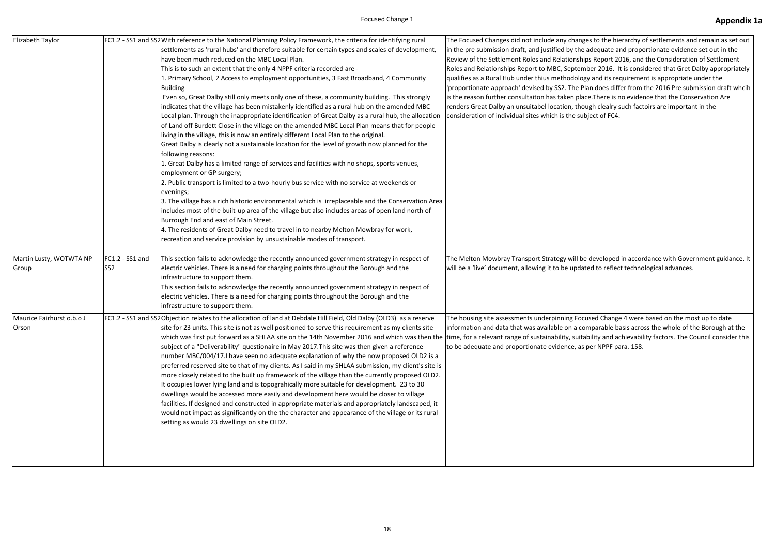| Elizabeth Taylor                   |                                    | FC1.2 - SS1 and SS2 With reference to the National Planning Policy Framework, the criteria for identifying rural<br>settlements as 'rural hubs' and therefore suitable for certain types and scales of development,<br>have been much reduced on the MBC Local Plan.<br>This is to such an extent that the only 4 NPPF criteria recorded are -<br>1. Primary School, 2 Access to employment opportunities, 3 Fast Broadband, 4 Community<br><b>Building</b><br>Even so, Great Dalby still only meets only one of these, a community building. This strongly<br>indicates that the village has been mistakenly identified as a rural hub on the amended MBC<br>Local plan. Through the inappropriate identification of Great Dalby as a rural hub, the allocation<br>of Land off Burdett Close in the village on the amended MBC Local Plan means that for people<br>living in the village, this is now an entirely different Local Plan to the original.<br>Great Dalby is clearly not a sustainable location for the level of growth now planned for the<br>following reasons:<br>1. Great Dalby has a limited range of services and facilities with no shops, sports venues,<br>employment or GP surgery;<br>2. Public transport is limited to a two-hourly bus service with no service at weekends or<br>evenings;<br>3. The village has a rich historic environmental which is irreplaceable and the Conservation Area<br>includes most of the built-up area of the village but also includes areas of open land north of<br>Burrough End and east of Main Street.<br>4. The residents of Great Dalby need to travel in to nearby Melton Mowbray for work,<br>recreation and service provision by unsustainable modes of transport. | The Focused Changes did not include any chang<br>in the pre submission draft, and justified by the<br>Review of the Settlement Roles and Relationsh<br>Roles and Relationships Report to MBC, Septen<br>qualifies as a Rural Hub under thius methodolo<br>'proportionate approach' devised by SS2. The P<br>is the reason further consultaiton has taken pla<br>renders Great Dalby an unsuitabel location, tho<br>consideration of individual sites which is the su |
|------------------------------------|------------------------------------|-----------------------------------------------------------------------------------------------------------------------------------------------------------------------------------------------------------------------------------------------------------------------------------------------------------------------------------------------------------------------------------------------------------------------------------------------------------------------------------------------------------------------------------------------------------------------------------------------------------------------------------------------------------------------------------------------------------------------------------------------------------------------------------------------------------------------------------------------------------------------------------------------------------------------------------------------------------------------------------------------------------------------------------------------------------------------------------------------------------------------------------------------------------------------------------------------------------------------------------------------------------------------------------------------------------------------------------------------------------------------------------------------------------------------------------------------------------------------------------------------------------------------------------------------------------------------------------------------------------------------------------------------------------------------------------------------------------------------------------------|----------------------------------------------------------------------------------------------------------------------------------------------------------------------------------------------------------------------------------------------------------------------------------------------------------------------------------------------------------------------------------------------------------------------------------------------------------------------|
| Martin Lusty, WOTWTA NP<br>Group   | FC1.2 - SS1 and<br>SS <sub>2</sub> | This section fails to acknowledge the recently announced government strategy in respect of<br>electric vehicles. There is a need for charging points throughout the Borough and the<br>infrastructure to support them.<br>This section fails to acknowledge the recently announced government strategy in respect of<br>electric vehicles. There is a need for charging points throughout the Borough and the<br>infrastructure to support them.                                                                                                                                                                                                                                                                                                                                                                                                                                                                                                                                                                                                                                                                                                                                                                                                                                                                                                                                                                                                                                                                                                                                                                                                                                                                                        | The Melton Mowbray Transport Strategy will b<br>will be a 'live' document, allowing it to be upda                                                                                                                                                                                                                                                                                                                                                                    |
| Maurice Fairhurst o.b.o J<br>Orson |                                    | FC1.2 - SS1 and SS2Objection relates to the allocation of land at Debdale Hill Field, Old Dalby (OLD3) as a reserve<br>site for 23 units. This site is not as well positioned to serve this requirement as my clients site<br>which was first put forward as a SHLAA site on the 14th November 2016 and which was then the time, for a relevant range of sustainability, suit<br>subject of a "Deliverability" questionaire in May 2017. This site was then given a reference<br>number MBC/004/17.I have seen no adequate explanation of why the now proposed OLD2 is a<br>preferred reserved site to that of my clients. As I said in my SHLAA submission, my client's site is<br>more closely related to the built up framework of the village than the currently proposed OLD2.<br>It occupies lower lying land and is topograhically more suitable for development. 23 to 30<br>dwellings would be accessed more easily and development here would be closer to village<br>facilities. If designed and constructed in appropriate materials and appropriately landscaped, it<br>would not impact as significantly on the the character and appearance of the village or its rural<br>setting as would 23 dwellings on site OLD2.                                                                                                                                                                                                                                                                                                                                                                                                                                                                                                   | The housing site assessments underpinning Foo<br>information and data that was available on a co<br>to be adequate and proportionate evidence, as                                                                                                                                                                                                                                                                                                                    |

ges to the hierarchy of settlements and remain as set out e adequate and proportionate evidence set out in the ips Report 2016, and the Consideration of Settlement mber 2016. It is considered that Gret Dalby appropriately gy and its requirement is appropriate under the <sup>2</sup>lan does differ from the 2016 Pre submission draft whcih ace.There is no evidence that the Conservation Are bugh clealry such factoirs are important in the bject of FC4.

The developed in accordance with Government guidance. It ated to reflect technological advances.

cused Change 4 were based on the most up to date omparable basis across the whole of the Borough at the tability and achievability factors. The Council consider this s per NPPF para. 158.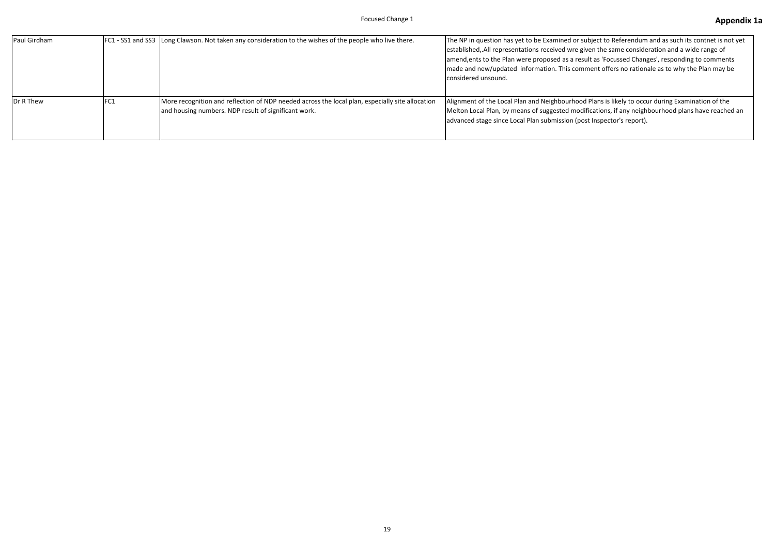| Paul Girdham |      | FC1 - SS1 and SS3 Long Clawson. Not taken any consideration to the wishes of the people who live there.                                                 | The NP in question has yet to be Examined or so<br>established, All representations received wre gi<br>amend, ents to the Plan were proposed as a rese<br>made and new/updated information. This com<br>considered unsound. |
|--------------|------|---------------------------------------------------------------------------------------------------------------------------------------------------------|-----------------------------------------------------------------------------------------------------------------------------------------------------------------------------------------------------------------------------|
| Dr R Thew    | IFC1 | More recognition and reflection of NDP needed across the local plan, especially site allocation<br>and housing numbers. NDP result of significant work. | Alignment of the Local Plan and Neighbourhood<br>Melton Local Plan, by means of suggested modi<br>advanced stage since Local Plan submission (po                                                                            |

subject to Referendum and as such its contnet is not yet given the same consideration and a wide range of sult as 'Focussed Changes', responding to comments nment offers no rationale as to why the Plan may be

Allan and Plan and I is likely to occur during Examination of the difications, if any neighbourhood plans have reached an ost Inspector's report).